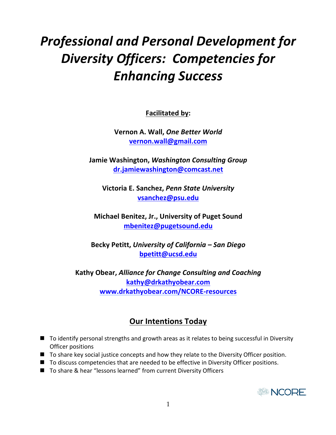# **Professional and Personal Development for** *Diversity Officers: Competencies for Enhancing Success*

**Facilitated by:** 

**Vernon A. Wall, One Better World** vernon.wall@gmail.com

**Jamie Washington,** *Washington Consulting Group* dr.jamiewashington@comcast.net

**Victoria E. Sanchez,** *Penn State University* **vsanchez@psu.edu** 

**Michael Benitez, Jr., University of Puget Sound mbenitez@pugetsound.edu** 

Becky Petitt, University of California - San Diego **bpetitt@ucsd.edu** 

**Kathy Obear,** *Alliance for Change Consulting and Coaching* **kathy@drkathyobear.com www.drkathyobear.com/NCORE-resources**

# **Our Intentions Today**

- $\blacksquare$  To identify personal strengths and growth areas as it relates to being successful in Diversity Officer positions
- $\blacksquare$  To share key social justice concepts and how they relate to the Diversity Officer position.
- $\blacksquare$  To discuss competencies that are needed to be effective in Diversity Officer positions.
- To share & hear "lessons learned" from current Diversity Officers

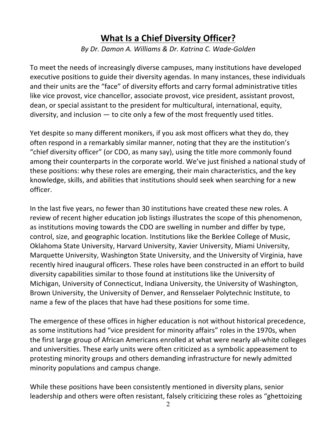# **What Is a Chief Diversity Officer?**

*By Dr. Damon A. Williams & Dr. Katrina C. Wade-Golden*

To meet the needs of increasingly diverse campuses, many institutions have developed executive positions to guide their diversity agendas. In many instances, these individuals and their units are the "face" of diversity efforts and carry formal administrative titles like vice provost, vice chancellor, associate provost, vice president, assistant provost, dean, or special assistant to the president for multicultural, international, equity, diversity, and inclusion  $-$  to cite only a few of the most frequently used titles.

Yet despite so many different monikers, if you ask most officers what they do, they often respond in a remarkably similar manner, noting that they are the institution's "chief diversity officer" (or CDO, as many say), using the title more commonly found among their counterparts in the corporate world. We've just finished a national study of these positions: why these roles are emerging, their main characteristics, and the key knowledge, skills, and abilities that institutions should seek when searching for a new officer. 

In the last five years, no fewer than 30 institutions have created these new roles. A review of recent higher education job listings illustrates the scope of this phenomenon, as institutions moving towards the CDO are swelling in number and differ by type, control, size, and geographic location. Institutions like the Berklee College of Music, Oklahoma State University, Harvard University, Xavier University, Miami University, Marquette University, Washington State University, and the University of Virginia, have recently hired inaugural officers. These roles have been constructed in an effort to build diversity capabilities similar to those found at institutions like the University of Michigan, University of Connecticut, Indiana University, the University of Washington, Brown University, the University of Denver, and Rensselaer Polytechnic Institute, to name a few of the places that have had these positions for some time.

The emergence of these offices in higher education is not without historical precedence, as some institutions had "vice president for minority affairs" roles in the 1970s, when the first large group of African Americans enrolled at what were nearly all-white colleges and universities. These early units were often criticized as a symbolic appeasement to protesting minority groups and others demanding infrastructure for newly admitted minority populations and campus change.

While these positions have been consistently mentioned in diversity plans, senior leadership and others were often resistant, falsely criticizing these roles as "ghettoizing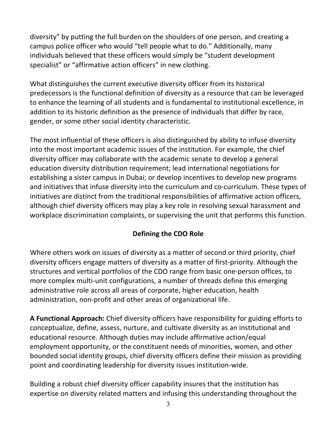diversity" by putting the full burden on the shoulders of one person, and creating a campus police officer who would "tell people what to do." Additionally, many individuals believed that these officers would simply be "student development specialist" or "affirmative action officers" in new clothing.

What distinguishes the current executive diversity officer from its historical predecessors is the functional definition of diversity as a resource that can be leveraged to enhance the learning of all students and is fundamental to institutional excellence, in addition to its historic definition as the presence of individuals that differ by race, gender, or some other social identity characteristic.

The most influential of these officers is also distinguished by ability to infuse diversity into the most important academic issues of the institution. For example, the chief diversity officer may collaborate with the academic senate to develop a general education diversity distribution requirement; lead international negotiations for establishing a sister campus in Dubai; or develop incentives to develop new programs and initiatives that infuse diversity into the curriculum and co-curriculum. These types of initiatives are distinct from the traditional responsibilities of affirmative action officers, although chief diversity officers may play a key role in resolving sexual harassment and workplace discrimination complaints, or supervising the unit that performs this function.

# **Defining the CDO Role**

Where others work on issues of diversity as a matter of second or third priority, chief diversity officers engage matters of diversity as a matter of first-priority. Although the structures and vertical portfolios of the CDO range from basic one-person offices, to more complex multi-unit configurations, a number of threads define this emerging administrative role across all areas of corporate, higher education, health administration, non-profit and other areas of organizational life.

A Functional Approach: Chief diversity officers have responsibility for guiding efforts to conceptualize, define, assess, nurture, and cultivate diversity as an institutional and educational resource. Although duties may include affirmative action/equal employment opportunity, or the constituent needs of minorities, women, and other bounded social identity groups, chief diversity officers define their mission as providing point and coordinating leadership for diversity issues institution-wide.

Building a robust chief diversity officer capability insures that the institution has expertise on diversity related matters and infusing this understanding throughout the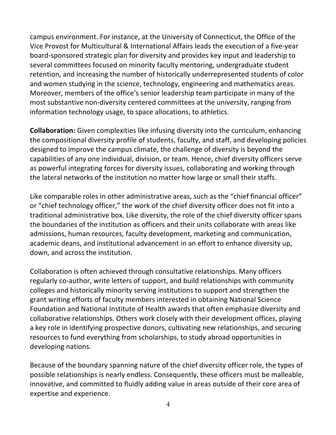campus environment. For instance, at the University of Connecticut, the Office of the Vice Provost for Multicultural & International Affairs leads the execution of a five-year board-sponsored strategic plan for diversity and provides key input and leadership to several committees focused on minority faculty mentoring, undergraduate student retention, and increasing the number of historically underrepresented students of color and women studying in the science, technology, engineering and mathematics areas. Moreover, members of the office's senior leadership team participate in many of the most substantive non-diversity centered committees at the university, ranging from information technology usage, to space allocations, to athletics.

**Collaboration:** Given complexities like infusing diversity into the curriculum, enhancing the compositional diversity profile of students, faculty, and staff, and developing policies designed to improve the campus climate, the challenge of diversity is beyond the capabilities of any one individual, division, or team. Hence, chief diversity officers serve as powerful integrating forces for diversity issues, collaborating and working through the lateral networks of the institution no matter how large or small their staffs.

Like comparable roles in other administrative areas, such as the "chief financial officer" or "chief technology officer," the work of the chief diversity officer does not fit into a traditional administrative box. Like diversity, the role of the chief diversity officer spans the boundaries of the institution as officers and their units collaborate with areas like admissions, human resources, faculty development, marketing and communication, academic deans, and institutional advancement in an effort to enhance diversity up, down, and across the institution.

Collaboration is often achieved through consultative relationships. Many officers regularly co-author, write letters of support, and build relationships with community colleges and historically minority serving institutions to support and strengthen the grant writing efforts of faculty members interested in obtaining National Science Foundation and National Institute of Health awards that often emphasize diversity and collaborative relationships. Others work closely with their development offices, playing a key role in identifying prospective donors, cultivating new relationships, and securing resources to fund everything from scholarships, to study abroad opportunities in developing nations.

Because of the boundary spanning nature of the chief diversity officer role, the types of possible relationships is nearly endless. Consequently, these officers must be malleable, innovative, and committed to fluidly adding value in areas outside of their core area of expertise and experience.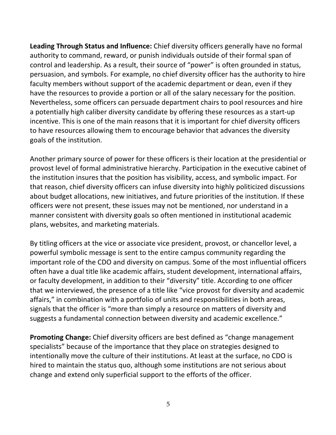Leading Through Status and Influence: Chief diversity officers generally have no formal authority to command, reward, or punish individuals outside of their formal span of control and leadership. As a result, their source of "power" is often grounded in status, persuasion, and symbols. For example, no chief diversity officer has the authority to hire faculty members without support of the academic department or dean, even if they have the resources to provide a portion or all of the salary necessary for the position. Nevertheless, some officers can persuade department chairs to pool resources and hire a potentially high caliber diversity candidate by offering these resources as a start-up incentive. This is one of the main reasons that it is important for chief diversity officers to have resources allowing them to encourage behavior that advances the diversity goals of the institution.

Another primary source of power for these officers is their location at the presidential or provost level of formal administrative hierarchy. Participation in the executive cabinet of the institution insures that the position has visibility, access, and symbolic impact. For that reason, chief diversity officers can infuse diversity into highly politicized discussions about budget allocations, new initiatives, and future priorities of the institution. If these officers were not present, these issues may not be mentioned, nor understand in a manner consistent with diversity goals so often mentioned in institutional academic plans, websites, and marketing materials.

By titling officers at the vice or associate vice president, provost, or chancellor level, a powerful symbolic message is sent to the entire campus community regarding the important role of the CDO and diversity on campus. Some of the most influential officers often have a dual title like academic affairs, student development, international affairs, or faculty development, in addition to their "diversity" title. According to one officer that we interviewed, the presence of a title like "vice provost for diversity and academic affairs," in combination with a portfolio of units and responsibilities in both areas, signals that the officer is "more than simply a resource on matters of diversity and suggests a fundamental connection between diversity and academic excellence."

**Promoting Change:** Chief diversity officers are best defined as "change management specialists" because of the importance that they place on strategies designed to intentionally move the culture of their institutions. At least at the surface, no CDO is hired to maintain the status quo, although some institutions are not serious about change and extend only superficial support to the efforts of the officer.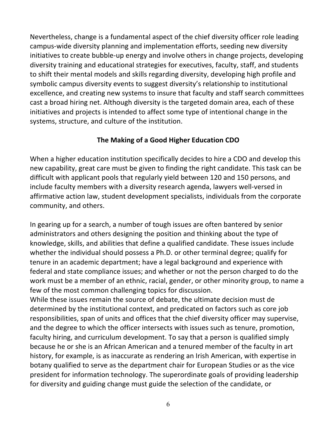Nevertheless, change is a fundamental aspect of the chief diversity officer role leading campus-wide diversity planning and implementation efforts, seeding new diversity initiatives to create bubble-up energy and involve others in change projects, developing diversity training and educational strategies for executives, faculty, staff, and students to shift their mental models and skills regarding diversity, developing high profile and symbolic campus diversity events to suggest diversity's relationship to institutional excellence, and creating new systems to insure that faculty and staff search committees cast a broad hiring net. Although diversity is the targeted domain area, each of these initiatives and projects is intended to affect some type of intentional change in the systems, structure, and culture of the institution.

# **The Making of a Good Higher Education CDO**

When a higher education institution specifically decides to hire a CDO and develop this new capability, great care must be given to finding the right candidate. This task can be difficult with applicant pools that regularly yield between 120 and 150 persons, and include faculty members with a diversity research agenda, lawyers well-versed in affirmative action law, student development specialists, individuals from the corporate community, and others.

In gearing up for a search, a number of tough issues are often bantered by senior administrators and others designing the position and thinking about the type of knowledge, skills, and abilities that define a qualified candidate. These issues include whether the individual should possess a Ph.D. or other terminal degree; qualify for tenure in an academic department; have a legal background and experience with federal and state compliance issues; and whether or not the person charged to do the work must be a member of an ethnic, racial, gender, or other minority group, to name a few of the most common challenging topics for discussion.

While these issues remain the source of debate, the ultimate decision must de determined by the institutional context, and predicated on factors such as core job responsibilities, span of units and offices that the chief diversity officer may supervise, and the degree to which the officer intersects with issues such as tenure, promotion, faculty hiring, and curriculum development. To say that a person is qualified simply because he or she is an African American and a tenured member of the faculty in art history, for example, is as inaccurate as rendering an Irish American, with expertise in botany qualified to serve as the department chair for European Studies or as the vice president for information technology. The superordinate goals of providing leadership for diversity and guiding change must guide the selection of the candidate, or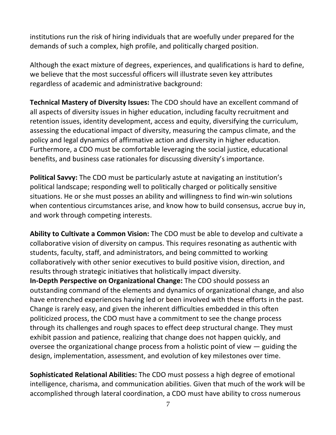institutions run the risk of hiring individuals that are woefully under prepared for the demands of such a complex, high profile, and politically charged position.

Although the exact mixture of degrees, experiences, and qualifications is hard to define, we believe that the most successful officers will illustrate seven key attributes regardless of academic and administrative background:

**Technical Mastery of Diversity Issues:** The CDO should have an excellent command of all aspects of diversity issues in higher education, including faculty recruitment and retention issues, identity development, access and equity, diversifying the curriculum, assessing the educational impact of diversity, measuring the campus climate, and the policy and legal dynamics of affirmative action and diversity in higher education. Furthermore, a CDO must be comfortable leveraging the social justice, educational benefits, and business case rationales for discussing diversity's importance.

**Political Savvy:** The CDO must be particularly astute at navigating an institution's political landscape; responding well to politically charged or politically sensitive situations. He or she must posses an ability and willingness to find win-win solutions when contentious circumstances arise, and know how to build consensus, accrue buy in, and work through competing interests.

**Ability to Cultivate a Common Vision:** The CDO must be able to develop and cultivate a collaborative vision of diversity on campus. This requires resonating as authentic with students, faculty, staff, and administrators, and being committed to working collaboratively with other senior executives to build positive vision, direction, and results through strategic initiatives that holistically impact diversity. **In-Depth Perspective on Organizational Change:** The CDO should possess an outstanding command of the elements and dynamics of organizational change, and also have entrenched experiences having led or been involved with these efforts in the past.

Change is rarely easy, and given the inherent difficulties embedded in this often politicized process, the CDO must have a commitment to see the change process through its challenges and rough spaces to effect deep structural change. They must exhibit passion and patience, realizing that change does not happen quickly, and oversee the organizational change process from a holistic point of view  $-$  guiding the design, implementation, assessment, and evolution of key milestones over time.

**Sophisticated Relational Abilities:** The CDO must possess a high degree of emotional intelligence, charisma, and communication abilities. Given that much of the work will be accomplished through lateral coordination, a CDO must have ability to cross numerous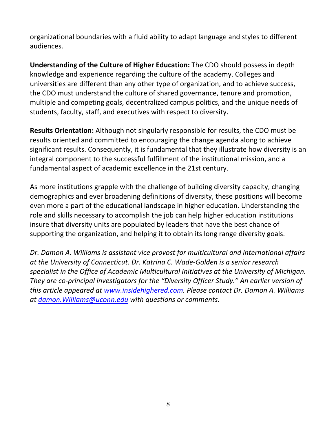organizational boundaries with a fluid ability to adapt language and styles to different audiences. 

**Understanding of the Culture of Higher Education:** The CDO should possess in depth knowledge and experience regarding the culture of the academy. Colleges and universities are different than any other type of organization, and to achieve success, the CDO must understand the culture of shared governance, tenure and promotion, multiple and competing goals, decentralized campus politics, and the unique needs of students, faculty, staff, and executives with respect to diversity.

**Results Orientation:** Although not singularly responsible for results, the CDO must be results oriented and committed to encouraging the change agenda along to achieve significant results. Consequently, it is fundamental that they illustrate how diversity is an integral component to the successful fulfillment of the institutional mission, and a fundamental aspect of academic excellence in the 21st century.

As more institutions grapple with the challenge of building diversity capacity, changing demographics and ever broadening definitions of diversity, these positions will become even more a part of the educational landscape in higher education. Understanding the role and skills necessary to accomplish the job can help higher education institutions insure that diversity units are populated by leaders that have the best chance of supporting the organization, and helping it to obtain its long range diversity goals.

Dr. Damon A. Williams is assistant vice provost for multicultural and international affairs at the University of Connecticut. Dr. Katrina C. Wade-Golden is a senior research specialist in the Office of Academic Multicultural Initiatives at the University of Michigan. They are co-principal investigators for the "Diversity Officer Study." An earlier version of *this article appeared at www.insidehighered.com. Please contact Dr. Damon A. Williams at damon.Williams@uconn.edu with questions or comments.*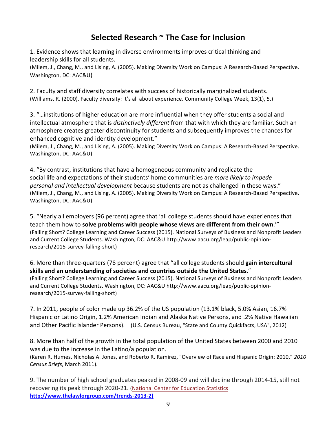# **Selected Research ~ The Case for Inclusion**

1. Evidence shows that learning in diverse environments improves critical thinking and leadership skills for all students.

(Milem, J., Chang, M., and Lising, A. (2005). Making Diversity Work on Campus: A Research-Based Perspective. Washington, DC: AAC&U)

2. Faculty and staff diversity correlates with success of historically marginalized students. (Williams, R. (2000). Faculty diversity: It's all about experience. Community College Week, 13(1), 5.)

3. "...institutions of higher education are more influential when they offer students a social and intellectual atmosphere that is *distinctively different* from that with which they are familiar. Such an atmosphere creates greater discontinuity for students and subsequently improves the chances for enhanced cognitive and identity development."

(Milem, J., Chang, M., and Lising, A. (2005). Making Diversity Work on Campus: A Research-Based Perspective. Washington, DC: AAC&U)

4. "By contrast, institutions that have a homogeneous community and replicate the social life and expectations of their students' home communities are *more likely to impede personal and intellectual development* because students are not as challenged in these ways." (Milem, J., Chang, M., and Lising, A. (2005). Making Diversity Work on Campus: A Research-Based Perspective. Washington, DC: AAC&U)

5. "Nearly all employers (96 percent) agree that 'all college students should have experiences that teach them how to **solve problems with people whose views are different from their own.'"** (Falling Short? College Learning and Career Success (2015). National Surveys of Business and Nonprofit Leaders and Current College Students. Washington, DC: AAC&U http://www.aacu.org/leap/public-opinionresearch/2015-survey-falling-short)

6. More than three-quarters (78 percent) agree that "all college students should gain intercultural skills and an understanding of societies and countries outside the United States." (Falling Short? College Learning and Career Success (2015). National Surveys of Business and Nonprofit Leaders and Current College Students. Washington, DC: AAC&U http://www.aacu.org/leap/public-opinionresearch/2015-survey-falling-short)

7. In 2011, people of color made up 36.2% of the US population (13.1% black, 5.0% Asian, 16.7% Hispanic or Latino Origin, 1.2% American Indian and Alaska Native Persons, and .2% Native Hawaiian and Other Pacific Islander Persons). (U.S. Census Bureau, "State and County Quickfacts, USA", 2012)

8. More than half of the growth in the total population of the United States between 2000 and 2010 was due to the increase in the Latino/a population.

(Karen R. Humes, Nicholas A. Jones, and Roberto R. Ramirez, "Overview of Race and Hispanic Origin: 2010," *2010 Census Briefs*, March 2011).

9. The number of high school graduates peaked in 2008-09 and will decline through 2014-15, still not recovering its peak through 2020-21. (National Center for Education Statistics **http://www.thelawlorgroup.com/trends-2013-2)**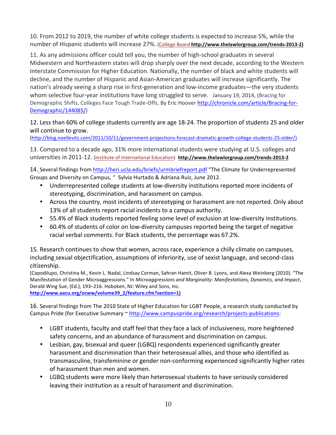10. From 2012 to 2019, the number of white college students is expected to increase 5%, while the number of Hispanic students will increase 27%. (College Board http://www.thelawlorgroup.com/trends-2013-2)

11. As any admissions officer could tell you, the number of high-school graduates in several Midwestern and Northeastern states will drop sharply over the next decade, according to the Western Interstate Commission for Higher Education. Nationally, the number of black and white students will decline, and the number of Hispanic and Asian-American graduates will increase significantly. The nation's already seeing a sharp rise in first-generation and low-income graduates—the very students whom selective four-year institutions have long struggled to serve. January 19, 2014, (Bracing for Demographic Shifts, Colleges Face Tough Trade-Offs, By Eric Hoover http://chronicle.com/article/Bracing-for-Demographic/144085/)

#### 12. Less than 60% of college students currently are age 18-24. The proportion of students 25 and older will continue to grow.

(http://blog.noellevitz.com/2011/10/11/government-projections-forecast-dramatic-growth-college-students-25-older/) 

13. Compared to a decade ago, 31% more international students were studying at U.S. colleges and universities in 2011-12. (Institute of International Education) http://www.thelawlorgroup.com/trends-2013-2

14. Several findings from http://heri.ucla.edu/briefs/urmbriefreport.pdf "The Climate for Underrepresented Groups and Diversity on Campus, " Sylvia Hurtado & Adriana Ruiz, June 2012.

- Underrepresented college students at low-diversity institutions reported more incidents of stereotyping, discrimination, and harassment on campus.
- Across the country, most incidents of stereotyping or harassment are not reported. Only about 13% of all students report racial incidents to a campus authority.
- 55.4% of Black students reported feeling some level of exclusion at low-diversity institutions.
- 60.4% of students of color on low-diversity campuses reported being the target of negative racial verbal comments. For Black students, the percentage was 67.2%.

15. Research continues to show that women, across race, experience a chilly climate on campuses, including sexual objectification, assumptions of inferiority, use of sexist language, and second-class citizenship. 

(Capodilupo, Christina M., Kevin L. Nadal, Lindsay Corman, Sahran Hamit, Oliver B. Lyons, and Alexa Weinberg (2010). "The Manifestation of Gender Microaggressions." In *Microaggressions and Marginality: Manifestations, Dynamics, and Impact,* Derald Wing Sue, (Ed.), 193-216. Hoboken, NJ: Wiley and Sons, Inc.

**http://www.aacu.org/ocww/volume39\_2/feature.cfm?section=1)** 

16. Several findings from The 2010 State of Higher Education for LGBT People, a research study conducted by Campus Pride (for Executive Summary ~ http://www.campuspride.org/research/projects-publications:

- LGBT students, faculty and staff feel that they face a lack of inclusiveness, more heightened safety concerns, and an abundance of harassment and discrimination on campus.
- Lesbian, gay, bisexual and queer (LGBQ) respondents experienced significantly greater harassment and discrimination than their heterosexual allies, and those who identified as transmasculine, transfeminine or gender non-conforming experienced significantly higher rates of harassment than men and women.
- LGBQ students were more likely than heterosexual students to have seriously considered leaving their institution as a result of harassment and discrimination.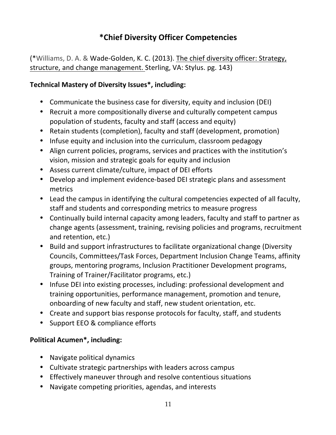# **\*Chief Diversity Officer Competencies**

(\*Williams, D. A. & Wade-Golden, K. C. (2013). The chief diversity officer: Strategy, structure, and change management. Sterling, VA: Stylus. pg. 143)

# **Technical Mastery of Diversity Issues\*, including:**

- Communicate the business case for diversity, equity and inclusion (DEI)
- Recruit a more compositionally diverse and culturally competent campus population of students, faculty and staff (access and equity)
- Retain students (completion), faculty and staff (development, promotion)
- Infuse equity and inclusion into the curriculum, classroom pedagogy
- Align current policies, programs, services and practices with the institution's vision, mission and strategic goals for equity and inclusion
- Assess current climate/culture, impact of DEI efforts
- Develop and implement evidence-based DEI strategic plans and assessment metrics
- Lead the campus in identifying the cultural competencies expected of all faculty, staff and students and corresponding metrics to measure progress
- Continually build internal capacity among leaders, faculty and staff to partner as change agents (assessment, training, revising policies and programs, recruitment and retention, etc.)
- Build and support infrastructures to facilitate organizational change (Diversity Councils, Committees/Task Forces, Department Inclusion Change Teams, affinity groups, mentoring programs, Inclusion Practitioner Development programs, Training of Trainer/Facilitator programs, etc.)
- Infuse DEI into existing processes, including: professional development and training opportunities, performance management, promotion and tenure, onboarding of new faculty and staff, new student orientation, etc.
- Create and support bias response protocols for faculty, staff, and students
- Support EEO & compliance efforts

# **Political Acumen\*, including:**

- Navigate political dynamics
- Cultivate strategic partnerships with leaders across campus
- Effectively maneuver through and resolve contentious situations
- Navigate competing priorities, agendas, and interests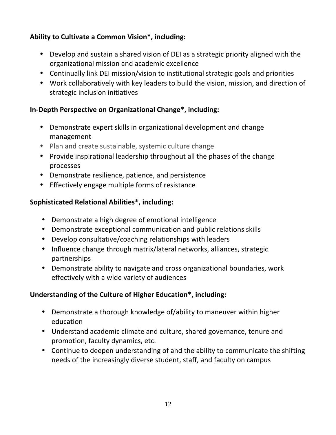# Ability to Cultivate a Common Vision\*, including:

- Develop and sustain a shared vision of DEI as a strategic priority aligned with the organizational mission and academic excellence
- Continually link DEI mission/vision to institutional strategic goals and priorities
- Work collaboratively with key leaders to build the vision, mission, and direction of strategic inclusion initiatives

# **In-Depth Perspective on Organizational Change\*, including:**

- Demonstrate expert skills in organizational development and change management
- Plan and create sustainable, systemic culture change
- Provide inspirational leadership throughout all the phases of the change processes
- Demonstrate resilience, patience, and persistence
- Effectively engage multiple forms of resistance

# **Sophisticated Relational Abilities\*, including:**

- Demonstrate a high degree of emotional intelligence
- Demonstrate exceptional communication and public relations skills
- Develop consultative/coaching relationships with leaders
- Influence change through matrix/lateral networks, alliances, strategic partnerships
- Demonstrate ability to navigate and cross organizational boundaries, work effectively with a wide variety of audiences

# **Understanding of the Culture of Higher Education\*, including:**

- Demonstrate a thorough knowledge of/ability to maneuver within higher education
- Understand academic climate and culture, shared governance, tenure and promotion, faculty dynamics, etc.
- Continue to deepen understanding of and the ability to communicate the shifting needs of the increasingly diverse student, staff, and faculty on campus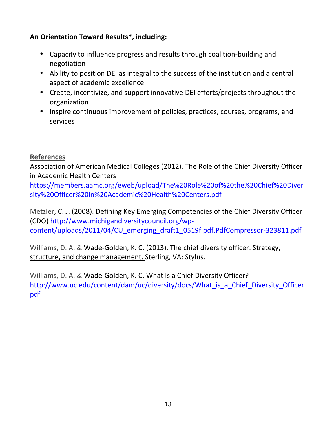# An Orientation Toward Results<sup>\*</sup>, including:

- Capacity to influence progress and results through coalition-building and negotiation
- Ability to position DEI as integral to the success of the institution and a central aspect of academic excellence
- Create, incentivize, and support innovative DEI efforts/projects throughout the organization
- Inspire continuous improvement of policies, practices, courses, programs, and services

# **References**

Association of American Medical Colleges (2012). The Role of the Chief Diversity Officer in Academic Health Centers

https://members.aamc.org/eweb/upload/The%20Role%20of%20the%20Chief%20Diver sity%20Officer%20in%20Academic%20Health%20Centers.pdf

Metzler, C. J. (2008). Defining Key Emerging Competencies of the Chief Diversity Officer (CDO) http://www.michigandiversitycouncil.org/wpcontent/uploads/2011/04/CU\_emerging\_draft1\_0519f.pdf.PdfCompressor-323811.pdf

Williams, D. A. & Wade-Golden, K. C. (2013). The chief diversity officer: Strategy, structure, and change management. Sterling, VA: Stylus.

Williams, D. A. & Wade-Golden, K. C. What Is a Chief Diversity Officer? http://www.uc.edu/content/dam/uc/diversity/docs/What\_is\_a\_Chief\_Diversity\_Officer. pdf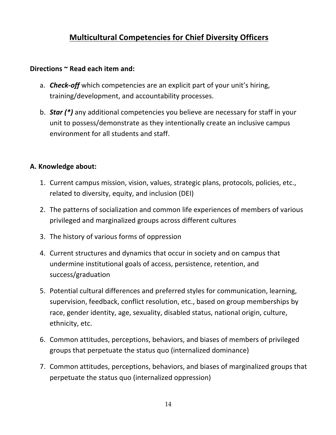# **Multicultural Competencies for Chief Diversity Officers**

### Directions  $\sim$  Read each item and:

- a. *Check-off* which competencies are an explicit part of your unit's hiring, training/development, and accountability processes.
- b. **Star** (\*) any additional competencies you believe are necessary for staff in your unit to possess/demonstrate as they intentionally create an inclusive campus environment for all students and staff.

### **A. Knowledge about:**

- 1. Current campus mission, vision, values, strategic plans, protocols, policies, etc., related to diversity, equity, and inclusion (DEI)
- 2. The patterns of socialization and common life experiences of members of various privileged and marginalized groups across different cultures
- 3. The history of various forms of oppression
- 4. Current structures and dynamics that occur in society and on campus that undermine institutional goals of access, persistence, retention, and success/graduation
- 5. Potential cultural differences and preferred styles for communication, learning, supervision, feedback, conflict resolution, etc., based on group memberships by race, gender identity, age, sexuality, disabled status, national origin, culture, ethnicity, etc.
- 6. Common attitudes, perceptions, behaviors, and biases of members of privileged groups that perpetuate the status quo (internalized dominance)
- 7. Common attitudes, perceptions, behaviors, and biases of marginalized groups that perpetuate the status quo (internalized oppression)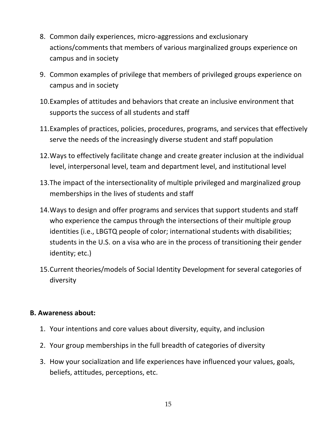- 8. Common daily experiences, micro-aggressions and exclusionary actions/comments that members of various marginalized groups experience on campus and in society
- 9. Common examples of privilege that members of privileged groups experience on campus and in society
- 10. Examples of attitudes and behaviors that create an inclusive environment that supports the success of all students and staff
- 11. Examples of practices, policies, procedures, programs, and services that effectively serve the needs of the increasingly diverse student and staff population
- 12. Ways to effectively facilitate change and create greater inclusion at the individual level, interpersonal level, team and department level, and institutional level
- 13. The impact of the intersectionality of multiple privileged and marginalized group memberships in the lives of students and staff
- 14. Ways to design and offer programs and services that support students and staff who experience the campus through the intersections of their multiple group identities (i.e., LBGTQ people of color; international students with disabilities; students in the U.S. on a visa who are in the process of transitioning their gender identity; etc.)
- 15. Current theories/models of Social Identity Development for several categories of diversity

# **B. Awareness about:**

- 1. Your intentions and core values about diversity, equity, and inclusion
- 2. Your group memberships in the full breadth of categories of diversity
- 3. How your socialization and life experiences have influenced your values, goals, beliefs, attitudes, perceptions, etc.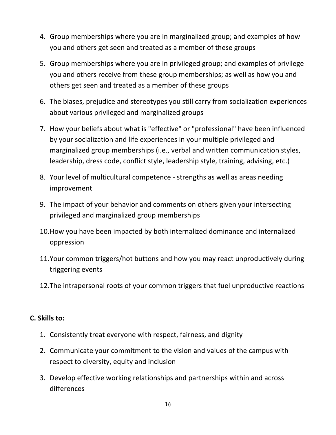- 4. Group memberships where you are in marginalized group; and examples of how you and others get seen and treated as a member of these groups
- 5. Group memberships where you are in privileged group; and examples of privilege you and others receive from these group memberships; as well as how you and others get seen and treated as a member of these groups
- 6. The biases, prejudice and stereotypes you still carry from socialization experiences about various privileged and marginalized groups
- 7. How your beliefs about what is "effective" or "professional" have been influenced by your socialization and life experiences in your multiple privileged and marginalized group memberships (i.e., verbal and written communication styles, leadership, dress code, conflict style, leadership style, training, advising, etc.)
- 8. Your level of multicultural competence strengths as well as areas needing improvement
- 9. The impact of your behavior and comments on others given your intersecting privileged and marginalized group memberships
- 10. How you have been impacted by both internalized dominance and internalized oppression
- 11. Your common triggers/hot buttons and how you may react unproductively during triggering events
- 12. The intrapersonal roots of your common triggers that fuel unproductive reactions

# **C. Skills to:**

- 1. Consistently treat everyone with respect, fairness, and dignity
- 2. Communicate your commitment to the vision and values of the campus with respect to diversity, equity and inclusion
- 3. Develop effective working relationships and partnerships within and across differences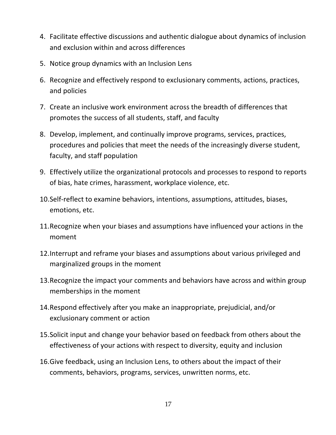- 4. Facilitate effective discussions and authentic dialogue about dynamics of inclusion and exclusion within and across differences
- 5. Notice group dynamics with an Inclusion Lens
- 6. Recognize and effectively respond to exclusionary comments, actions, practices, and policies
- 7. Create an inclusive work environment across the breadth of differences that promotes the success of all students, staff, and faculty
- 8. Develop, implement, and continually improve programs, services, practices, procedures and policies that meet the needs of the increasingly diverse student, faculty, and staff population
- 9. Effectively utilize the organizational protocols and processes to respond to reports of bias, hate crimes, harassment, workplace violence, etc.
- 10. Self-reflect to examine behaviors, intentions, assumptions, attitudes, biases, emotions, etc.
- 11. Recognize when your biases and assumptions have influenced your actions in the moment
- 12. Interrupt and reframe your biases and assumptions about various privileged and marginalized groups in the moment
- 13. Recognize the impact your comments and behaviors have across and within group memberships in the moment
- 14. Respond effectively after you make an inappropriate, prejudicial, and/or exclusionary comment or action
- 15. Solicit input and change your behavior based on feedback from others about the effectiveness of your actions with respect to diversity, equity and inclusion
- 16. Give feedback, using an Inclusion Lens, to others about the impact of their comments, behaviors, programs, services, unwritten norms, etc.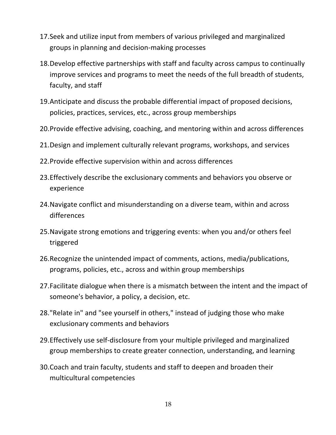- 17. Seek and utilize input from members of various privileged and marginalized groups in planning and decision-making processes
- 18.Develop effective partnerships with staff and faculty across campus to continually improve services and programs to meet the needs of the full breadth of students, faculty, and staff
- 19. Anticipate and discuss the probable differential impact of proposed decisions, policies, practices, services, etc., across group memberships
- 20. Provide effective advising, coaching, and mentoring within and across differences
- 21.Design and implement culturally relevant programs, workshops, and services
- 22. Provide effective supervision within and across differences
- 23. Effectively describe the exclusionary comments and behaviors you observe or experience
- 24. Navigate conflict and misunderstanding on a diverse team, within and across differences
- 25. Navigate strong emotions and triggering events: when you and/or others feel triggered
- 26. Recognize the unintended impact of comments, actions, media/publications, programs, policies, etc., across and within group memberships
- 27. Facilitate dialogue when there is a mismatch between the intent and the impact of someone's behavior, a policy, a decision, etc.
- 28."Relate in" and "see yourself in others," instead of judging those who make exclusionary comments and behaviors
- 29. Effectively use self-disclosure from your multiple privileged and marginalized group memberships to create greater connection, understanding, and learning
- 30. Coach and train faculty, students and staff to deepen and broaden their multicultural competencies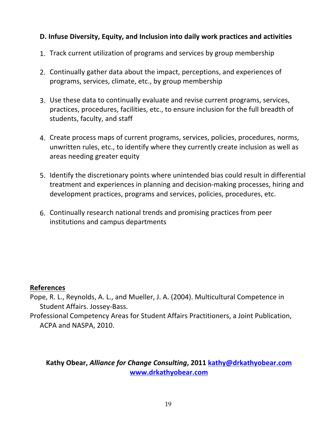# **D.** Infuse Diversity, Equity, and Inclusion into daily work practices and activities

- 1. Track current utilization of programs and services by group membership
- 2. Continually gather data about the impact, perceptions, and experiences of programs, services, climate, etc., by group membership
- 3. Use these data to continually evaluate and revise current programs, services, practices, procedures, facilities, etc., to ensure inclusion for the full breadth of students, faculty, and staff
- 4. Create process maps of current programs, services, policies, procedures, norms, unwritten rules, etc., to identify where they currently create inclusion as well as areas needing greater equity
- 5. Identify the discretionary points where unintended bias could result in differential treatment and experiences in planning and decision-making processes, hiring and development practices, programs and services, policies, procedures, etc.
- 6. Continually research national trends and promising practices from peer institutions and campus departments

# **References**

Pope, R. L., Reynolds, A. L., and Mueller, J. A. (2004). Multicultural Competence in Student Affairs. Jossey-Bass.

Professional Competency Areas for Student Affairs Practitioners, a Joint Publication, ACPA and NASPA, 2010.

Kathy Obear, *Alliance for Change Consulting*, 2011 kathy@drkathyobear.com **www.drkathyobear.com**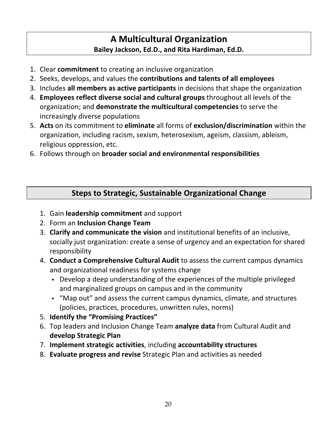# **A Multicultural Organization** Bailey Jackson, Ed.D., and Rita Hardiman, Ed.D.

- 1. Clear **commitment** to creating an inclusive organization
- 2. Seeks, develops, and values the **contributions and talents of all employees**
- 3. Includes **all members as active participants** in decisions that shape the organization
- 4. **Employees reflect diverse social and cultural groups** throughout all levels of the organization; and **demonstrate the multicultural competencies** to serve the increasingly diverse populations
- 5. Acts on its commitment to eliminate all forms of exclusion/discrimination within the organization, including racism, sexism, heterosexism, ageism, classism, ableism, religious oppression, etc.
- 6. Follows through on **broader social and environmental responsibilities**

# **Steps to Strategic, Sustainable Organizational Change**

- 1. Gain **leadership commitment** and support
- 2. Form an **Inclusion Change Team**
- 3. **Clarify and communicate the vision** and institutional benefits of an inclusive, socially just organization: create a sense of urgency and an expectation for shared responsibility
- 4. **Conduct a Comprehensive Cultural Audit** to assess the current campus dynamics and organizational readiness for systems change
	- Develop a deep understanding of the experiences of the multiple privileged and marginalized groups on campus and in the community
	- "Map out" and assess the current campus dynamics, climate, and structures (policies, practices, procedures, unwritten rules, norms)
- **5. Identify the "Promising Practices"**
- 6. Top leaders and Inclusion Change Team analyze data from Cultural Audit and **develop Strategic Plan**
- 7. **Implement strategic activities**, including accountability structures
- 8. **Evaluate progress and revise** Strategic Plan and activities as needed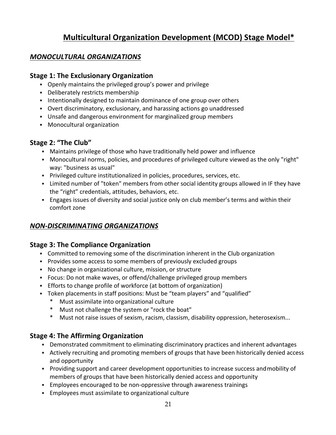# **Multicultural Organization Development (MCOD) Stage Model\***

### *MONOCULTURAL ORGANIZATIONS*

#### **Stage 1: The Exclusionary Organization**

- Openly maintains the privileged group's power and privilege
- Deliberately restricts membership
- Intentionally designed to maintain dominance of one group over others
- Overt discriminatory, exclusionary, and harassing actions go unaddressed
- Unsafe and dangerous environment for marginalized group members
- **•** Monocultural organization

# Stage 2: "The Club"

- Maintains privilege of those who have traditionally held power and influence
- Monocultural norms, policies, and procedures of privileged culture viewed as the only "right" way: "business as usual"
- Privileged culture institutionalized in policies, procedures, services, etc.
- Limited number of "token" members from other social identity groups allowed in IF they have the "right" credentials, attitudes, behaviors, etc.
- Engages issues of diversity and social justice only on club member's terms and within their comfort zone

# *NON-DISCRIMINATING ORGANIZATIONS*

#### **Stage 3: The Compliance Organization**

- Committed to removing some of the discrimination inherent in the Club organization
- Provides some access to some members of previously excluded groups
- No change in organizational culture, mission, or structure
- Focus: Do not make waves, or offend/challenge privileged group members
- **Efforts to change profile of workforce (at bottom of organization)**
- Token placements in staff positions: Must be "team players" and "qualified"
	- Must assimilate into organizational culture
	- Must not challenge the system or "rock the boat"
	- \* Must not raise issues of sexism, racism, classism, disability oppression, heterosexism...

#### **Stage 4: The Affirming Organization**

- Demonstrated commitment to eliminating discriminatory practices and inherent advantages
- Actively recruiting and promoting members of groups that have been historically denied access and opportunity
- Providing support and career development opportunities to increase success and mobility of members of groups that have been historically denied access and opportunity
- **Employees encouraged to be non-oppressive through awareness trainings**
- Employees must assimilate to organizational culture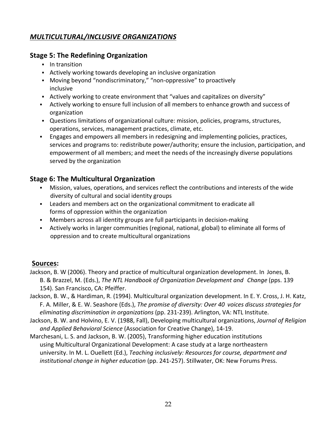# *MULTICULTURAL/INCLUSIVE ORGANIZATIONS*

### **Stage 5: The Redefining Organization**

- In transition
- **•** Actively working towards developing an inclusive organization
- Moving beyond "nondiscriminatory," "non-oppressive" to proactively inclusive
- Actively working to create environment that "values and capitalizes on diversity"
- Actively working to ensure full inclusion of all members to enhance growth and success of organization
- Questions limitations of organizational culture: mission, policies, programs, structures, operations, services, management practices, climate, etc.
- **Engages and empowers all members in redesigning and implementing policies, practices,** services and programs to: redistribute power/authority; ensure the inclusion, participation, and empowerment of all members; and meet the needs of the increasingly diverse populations served by the organization

# **Stage 6: The Multicultural Organization**

- Mission, values, operations, and services reflect the contributions and interests of the wide diversity of cultural and social identity groups
- Leaders and members act on the organizational commitment to eradicate all forms of oppression within the organization
- Members across all identity groups are full participants in decision-making
- Actively works in larger communities (regional, national, global) to eliminate all forms of oppression and to create multicultural organizations

#### **Sources:**

- Jackson, B. W (2006). Theory and practice of multicultural organization development. In Jones, B. B. & Brazzel, M. (Eds.), *The NTL Handbook of Organization Development and Change* (pps. 139 154). San Francisco, CA: Pfeiffer.
- Jackson, B. W., & Hardiman, R. (1994). Multicultural organization development. In E. Y. Cross, J. H. Katz, F. A. Miller, & E. W. Seashore (Eds.), *The promise of diversity: Over 40 voices discuss strategies for eliminating discrimination in organizations* (pp. 231-239). Arlington, VA: NTL Institute.
- Jackson, B. W. and Holvino, E. V. (1988, Fall), Developing multicultural organizations, *Journal of Religion* and Applied Behavioral Science (Association for Creative Change), 14-19.
- Marchesani, L. S. and Jackson, B. W. (2005), Transforming higher education institutions using Multicultural Organizational Development: A case study at a large northeastern university. In M. L. Ouellett (Ed.), *Teaching inclusively: Resources for course, department and institutional change in higher education* (pp. 241-257). Stillwater, OK: New Forums Press.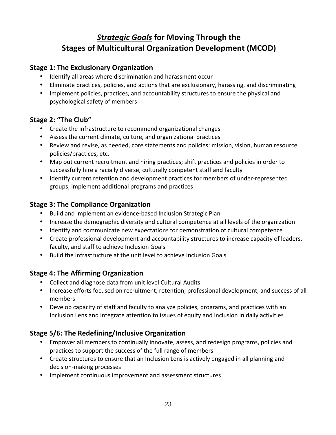# **Strategic Goals for Moving Through the Stages of Multicultural Organization Development (MCOD)**

# **Stage 1: The Exclusionary Organization**

- Identify all areas where discrimination and harassment occur
- Eliminate practices, policies, and actions that are exclusionary, harassing, and discriminating
- Implement policies, practices, and accountability structures to ensure the physical and psychological safety of members

# Stage 2: "The Club"

- Create the infrastructure to recommend organizational changes
- Assess the current climate, culture, and organizational practices
- Review and revise, as needed, core statements and policies: mission, vision, human resource policies/practices, etc.
- Map out current recruitment and hiring practices; shift practices and policies in order to successfully hire a racially diverse, culturally competent staff and faculty
- Identify current retention and development practices for members of under-represented groups; implement additional programs and practices

# **Stage 3: The Compliance Organization**

- Build and implement an evidence-based Inclusion Strategic Plan
- Increase the demographic diversity and cultural competence at all levels of the organization
- Identify and communicate new expectations for demonstration of cultural competence
- Create professional development and accountability structures to increase capacity of leaders, faculty, and staff to achieve Inclusion Goals
- Build the infrastructure at the unit level to achieve Inclusion Goals

# **Stage 4: The Affirming Organization**

- Collect and diagnose data from unit level Cultural Audits
- Increase efforts focused on recruitment, retention, professional development, and success of all members
- Develop capacity of staff and faculty to analyze policies, programs, and practices with an Inclusion Lens and integrate attention to issues of equity and inclusion in daily activities

# **Stage 5/6: The Redefining/Inclusive Organization**

- Empower all members to continually innovate, assess, and redesign programs, policies and practices to support the success of the full range of members
- Create structures to ensure that an Inclusion Lens is actively engaged in all planning and decision-making processes
- Implement continuous improvement and assessment structures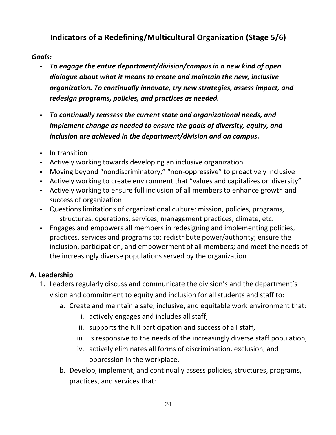# **Indicators of a Redefining/Multicultural Organization (Stage 5/6)**

# *Goals:*

- § *To engage the entire department/division/campus in a new kind of open*  dialogue about what it means to create and maintain the new, inclusive *organization. To continually innovate, try new strategies, assess impact, and* redesign programs, policies, and practices as needed.
- **•** To continually reassess the current state and organizational needs, and *implement change as needed to ensure the goals of diversity, equity, and* inclusion are achieved in the department/division and on campus.
- In transition
- Actively working towards developing an inclusive organization
- Moving beyond "nondiscriminatory," "non-oppressive" to proactively inclusive
- Actively working to create environment that "values and capitalizes on diversity"
- Actively working to ensure full inclusion of all members to enhance growth and success of organization
- Questions limitations of organizational culture: mission, policies, programs, structures, operations, services, management practices, climate, etc.
- Engages and empowers all members in redesigning and implementing policies, practices, services and programs to: redistribute power/authority; ensure the inclusion, participation, and empowerment of all members; and meet the needs of the increasingly diverse populations served by the organization

# **A. Leadership**

- 1. Leaders regularly discuss and communicate the division's and the department's vision and commitment to equity and inclusion for all students and staff to:
	- a. Create and maintain a safe, inclusive, and equitable work environment that:
		- i. actively engages and includes all staff,
		- ii. supports the full participation and success of all staff,
		- iii. is responsive to the needs of the increasingly diverse staff population,
		- iv. actively eliminates all forms of discrimination, exclusion, and oppression in the workplace.
	- b. Develop, implement, and continually assess policies, structures, programs, practices, and services that: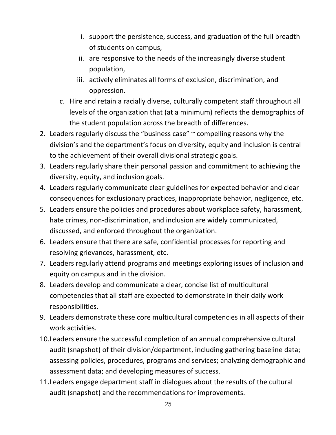- i. support the persistence, success, and graduation of the full breadth of students on campus,
- ii. are responsive to the needs of the increasingly diverse student population,
- iii. actively eliminates all forms of exclusion, discrimination, and oppression.
- c. Hire and retain a racially diverse, culturally competent staff throughout all levels of the organization that (at a minimum) reflects the demographics of the student population across the breadth of differences.
- 2. Leaders regularly discuss the "business case"  $\sim$  compelling reasons why the division's and the department's focus on diversity, equity and inclusion is central to the achievement of their overall divisional strategic goals.
- 3. Leaders regularly share their personal passion and commitment to achieving the diversity, equity, and inclusion goals.
- 4. Leaders regularly communicate clear guidelines for expected behavior and clear consequences for exclusionary practices, inappropriate behavior, negligence, etc.
- 5. Leaders ensure the policies and procedures about workplace safety, harassment, hate crimes, non-discrimination, and inclusion are widely communicated, discussed, and enforced throughout the organization.
- 6. Leaders ensure that there are safe, confidential processes for reporting and resolving grievances, harassment, etc.
- 7. Leaders regularly attend programs and meetings exploring issues of inclusion and equity on campus and in the division.
- 8. Leaders develop and communicate a clear, concise list of multicultural competencies that all staff are expected to demonstrate in their daily work responsibilities.
- 9. Leaders demonstrate these core multicultural competencies in all aspects of their work activities.
- 10. Leaders ensure the successful completion of an annual comprehensive cultural audit (snapshot) of their division/department, including gathering baseline data; assessing policies, procedures, programs and services; analyzing demographic and assessment data; and developing measures of success.
- 11. Leaders engage department staff in dialogues about the results of the cultural audit (snapshot) and the recommendations for improvements.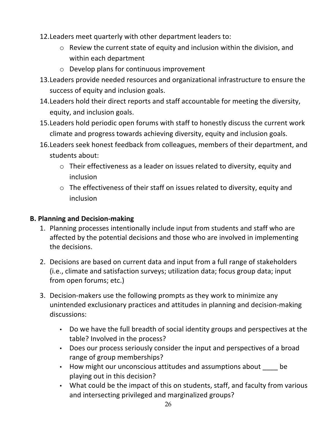- 12. Leaders meet quarterly with other department leaders to:
	- $\circ$  Review the current state of equity and inclusion within the division, and within each department
	- $\circ$  Develop plans for continuous improvement
- 13. Leaders provide needed resources and organizational infrastructure to ensure the success of equity and inclusion goals.
- 14. Leaders hold their direct reports and staff accountable for meeting the diversity, equity, and inclusion goals.
- 15. Leaders hold periodic open forums with staff to honestly discuss the current work climate and progress towards achieving diversity, equity and inclusion goals.
- 16. Leaders seek honest feedback from colleagues, members of their department, and students about:
	- $\circ$  Their effectiveness as a leader on issues related to diversity, equity and inclusion
	- $\circ$  The effectiveness of their staff on issues related to diversity, equity and inclusion

# **B. Planning and Decision-making**

- 1. Planning processes intentionally include input from students and staff who are affected by the potential decisions and those who are involved in implementing the decisions.
- 2. Decisions are based on current data and input from a full range of stakeholders (i.e., climate and satisfaction surveys; utilization data; focus group data; input from open forums; etc.)
- 3. Decision-makers use the following prompts as they work to minimize any unintended exclusionary practices and attitudes in planning and decision-making discussions:
	- Do we have the full breadth of social identity groups and perspectives at the table? Involved in the process?
	- Does our process seriously consider the input and perspectives of a broad range of group memberships?
	- How might our unconscious attitudes and assumptions about be playing out in this decision?
	- What could be the impact of this on students, staff, and faculty from various and intersecting privileged and marginalized groups?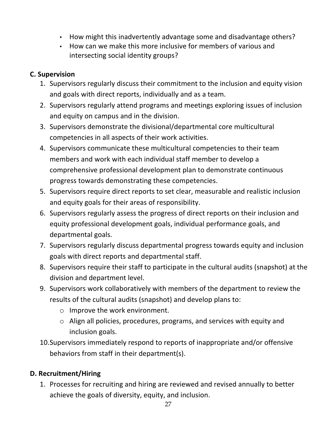- How might this inadvertently advantage some and disadvantage others?
- How can we make this more inclusive for members of various and intersecting social identity groups?

# **C. Supervision**

- 1. Supervisors regularly discuss their commitment to the inclusion and equity vision and goals with direct reports, individually and as a team.
- 2. Supervisors regularly attend programs and meetings exploring issues of inclusion and equity on campus and in the division.
- 3. Supervisors demonstrate the divisional/departmental core multicultural competencies in all aspects of their work activities.
- 4. Supervisors communicate these multicultural competencies to their team members and work with each individual staff member to develop a comprehensive professional development plan to demonstrate continuous progress towards demonstrating these competencies.
- 5. Supervisors require direct reports to set clear, measurable and realistic inclusion and equity goals for their areas of responsibility.
- 6. Supervisors regularly assess the progress of direct reports on their inclusion and equity professional development goals, individual performance goals, and departmental goals.
- 7. Supervisors regularly discuss departmental progress towards equity and inclusion goals with direct reports and departmental staff.
- 8. Supervisors require their staff to participate in the cultural audits (snapshot) at the division and department level.
- 9. Supervisors work collaboratively with members of the department to review the results of the cultural audits (snapshot) and develop plans to:
	- $\circ$  Improve the work environment.
	- $\circ$  Align all policies, procedures, programs, and services with equity and inclusion goals.
- 10. Supervisors immediately respond to reports of inappropriate and/or offensive behaviors from staff in their department(s).

# **D. Recruitment/Hiring**

1. Processes for recruiting and hiring are reviewed and revised annually to better achieve the goals of diversity, equity, and inclusion.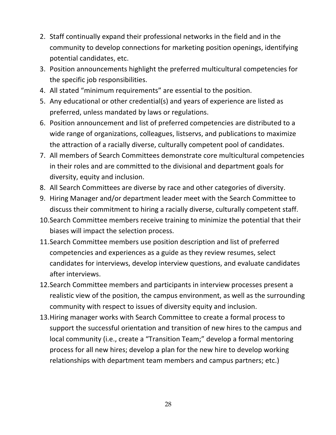- 2. Staff continually expand their professional networks in the field and in the community to develop connections for marketing position openings, identifying potential candidates, etc.
- 3. Position announcements highlight the preferred multicultural competencies for the specific job responsibilities.
- 4. All stated "minimum requirements" are essential to the position.
- 5. Any educational or other credential(s) and years of experience are listed as preferred, unless mandated by laws or regulations.
- 6. Position announcement and list of preferred competencies are distributed to a wide range of organizations, colleagues, listservs, and publications to maximize the attraction of a racially diverse, culturally competent pool of candidates.
- 7. All members of Search Committees demonstrate core multicultural competencies in their roles and are committed to the divisional and department goals for diversity, equity and inclusion.
- 8. All Search Committees are diverse by race and other categories of diversity.
- 9. Hiring Manager and/or department leader meet with the Search Committee to discuss their commitment to hiring a racially diverse, culturally competent staff.
- 10. Search Committee members receive training to minimize the potential that their biases will impact the selection process.
- 11. Search Committee members use position description and list of preferred competencies and experiences as a guide as they review resumes, select candidates for interviews, develop interview questions, and evaluate candidates after interviews.
- 12. Search Committee members and participants in interview processes present a realistic view of the position, the campus environment, as well as the surrounding community with respect to issues of diversity equity and inclusion.
- 13. Hiring manager works with Search Committee to create a formal process to support the successful orientation and transition of new hires to the campus and local community (i.e., create a "Transition Team;" develop a formal mentoring process for all new hires; develop a plan for the new hire to develop working relationships with department team members and campus partners; etc.)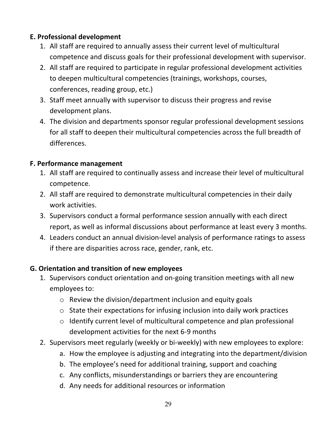# **E. Professional development**

- 1. All staff are required to annually assess their current level of multicultural competence and discuss goals for their professional development with supervisor.
- 2. All staff are required to participate in regular professional development activities to deepen multicultural competencies (trainings, workshops, courses, conferences, reading group, etc.)
- 3. Staff meet annually with supervisor to discuss their progress and revise development plans.
- 4. The division and departments sponsor regular professional development sessions for all staff to deepen their multicultural competencies across the full breadth of differences.

# **F. Performance management**

- 1. All staff are required to continually assess and increase their level of multicultural competence.
- 2. All staff are required to demonstrate multicultural competencies in their daily work activities.
- 3. Supervisors conduct a formal performance session annually with each direct report, as well as informal discussions about performance at least every 3 months.
- 4. Leaders conduct an annual division-level analysis of performance ratings to assess if there are disparities across race, gender, rank, etc.

# **G. Orientation and transition of new employees**

- 1. Supervisors conduct orientation and on-going transition meetings with all new employees to:
	- $\circ$  Review the division/department inclusion and equity goals
	- $\circ$  State their expectations for infusing inclusion into daily work practices
	- $\circ$  Identify current level of multicultural competence and plan professional development activities for the next 6-9 months
- 2. Supervisors meet regularly (weekly or bi-weekly) with new employees to explore:
	- a. How the employee is adjusting and integrating into the department/division
	- b. The employee's need for additional training, support and coaching
	- c. Any conflicts, misunderstandings or barriers they are encountering
	- d. Any needs for additional resources or information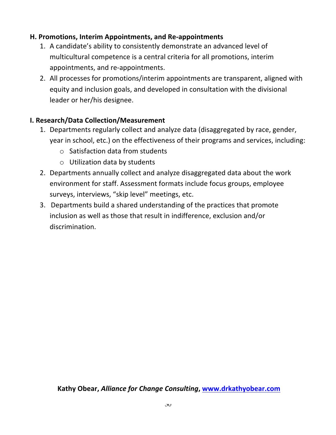# **H. Promotions, Interim Appointments, and Re-appointments**

- 1. A candidate's ability to consistently demonstrate an advanced level of multicultural competence is a central criteria for all promotions, interim appointments, and re-appointments.
- 2. All processes for promotions/interim appointments are transparent, aligned with equity and inclusion goals, and developed in consultation with the divisional leader or her/his designee.

# **I. Research/Data Collection/Measurement**

- 1. Departments regularly collect and analyze data (disaggregated by race, gender, year in school, etc.) on the effectiveness of their programs and services, including:
	- $\circ$  Satisfaction data from students
	- $\circ$  Utilization data by students
- 2. Departments annually collect and analyze disaggregated data about the work environment for staff. Assessment formats include focus groups, employee surveys, interviews, "skip level" meetings, etc.
- 3. Departments build a shared understanding of the practices that promote inclusion as well as those that result in indifference, exclusion and/or discrimination.

# Kathy Obear, *Alliance for Change Consulting*, www.drkathyobear.com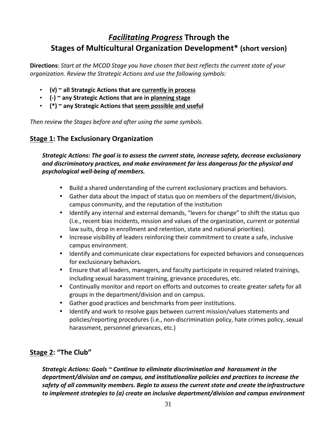# **Facilitating Progress Through the Stages of Multicultural Organization Development\*** (short version)

**Directions**: Start at the MCOD Stage you have chosen that best reflects the current state of your organization. Review the Strategic Actions and use the following symbols:

- (√) ~ all Strategic Actions that are currently in process
- (-) ~ any Strategic Actions that are in planning stage
- (\*) ~ any Strategic Actions that seem possible and useful

*Then review the Stages before and after using the same symbols.* 

### **Stage 1: The Exclusionary Organization**

*Strategic Actions: The goal is to assess the current state, increase safety, decrease exclusionary and discriminatory practices, and make environment far less dangerous for the physical and psychological well-being of members.* 

- Build a shared understanding of the current exclusionary practices and behaviors.
- Gather data about the impact of status quo on members of the department/division, campus community, and the reputation of the institution
- Identify any internal and external demands, "levers for change" to shift the status quo (i.e., recent bias incidents, mission and values of the organization, current or potential law suits, drop in enrollment and retention, state and national priorities).
- Increase visibility of leaders reinforcing their commitment to create a safe, inclusive campus environment.
- Identify and communicate clear expectations for expected behaviors and consequences for exclusionary behaviors.
- Ensure that all leaders, managers, and faculty participate in required related trainings, including sexual harassment training, grievance procedures, etc.
- Continually monitor and report on efforts and outcomes to create greater safety for all groups in the department/division and on campus.
- Gather good practices and benchmarks from peer institutions.
- Identify and work to resolve gaps between current mission/values statements and policies/reporting procedures (i.e., non-discrimination policy, hate crimes policy, sexual harassment, personnel grievances, etc.)

# **Stage 2: "The Club"**

Strategic Actions: Goals ~ Continue to eliminate discrimination and *harassment* in the department/division and on campus, and institutionalize policies and practices to increase the  *safety of all community members. Begin to assess the current state and create the infrastructure* to implement strategies to (a) create an inclusive department/division and campus environment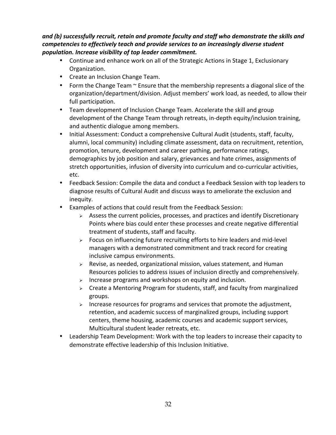and (b) successfully recruit, retain and promote faculty and staff who demonstrate the skills and competencies to effectively teach and provide services to an increasingly diverse student  *population. Increase visibility of top leader commitment.*

- Continue and enhance work on all of the Strategic Actions in Stage 1, Exclusionary Organization.
- Create an Inclusion Change Team.
- Form the Change Team  $\sim$  Ensure that the membership represents a diagonal slice of the organization/department/division. Adjust members' work load, as needed, to allow their full participation.
- Team development of Inclusion Change Team. Accelerate the skill and group development of the Change Team through retreats, in-depth equity/inclusion training, and authentic dialogue among members.
- Initial Assessment: Conduct a comprehensive Cultural Audit (students, staff, faculty, alumni, local community) including climate assessment, data on recruitment, retention, promotion, tenure, development and career pathing, performance ratings, demographics by job position and salary, grievances and hate crimes, assignments of stretch opportunities, infusion of diversity into curriculum and co-curricular activities, etc.
- Feedback Session: Compile the data and conduct a Feedback Session with top leaders to diagnose results of Cultural Audit and discuss ways to ameliorate the exclusion and inequity.
- Examples of actions that could result from the Feedback Session:
	- $\triangleright$  Assess the current policies, processes, and practices and identify Discretionary Points where bias could enter these processes and create negative differential treatment of students, staff and faculty.
	- $\triangleright$  Focus on influencing future recruiting efforts to hire leaders and mid-level managers with a demonstrated commitment and track record for creating inclusive campus environments.
	- $\triangleright$  Revise, as needed, organizational mission, values statement, and Human Resources policies to address issues of inclusion directly and comprehensively.
	- $\triangleright$  Increase programs and workshops on equity and inclusion.
	- $\triangleright$  Create a Mentoring Program for students, staff, and faculty from marginalized groups.
	- $\triangleright$  Increase resources for programs and services that promote the adjustment, retention, and academic success of marginalized groups, including support centers, theme housing, academic courses and academic support services, Multicultural student leader retreats, etc.
- Leadership Team Development: Work with the top leaders to increase their capacity to demonstrate effective leadership of this Inclusion Initiative.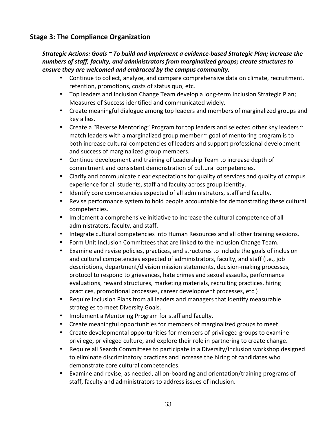# **Stage 3: The Compliance Organization**

#### *Strategic Actions: Goals ~ To build and implement a evidence-based Strategic Plan; increase the numbers of staff, faculty, and administrators from marginalized groups; create structures to* ensure they are welcomed and embraced by the campus community.

- Continue to collect, analyze, and compare comprehensive data on climate, recruitment, retention, promotions, costs of status quo, etc.
- Top leaders and Inclusion Change Team develop a long-term Inclusion Strategic Plan; Measures of Success identified and communicated widely.
- Create meaningful dialogue among top leaders and members of marginalized groups and key allies.
- Create a "Reverse Mentoring" Program for top leaders and selected other key leaders  $\sim$ match leaders with a marginalized group member  $\sim$  goal of mentoring program is to both increase cultural competencies of leaders and support professional development and success of marginalized group members.
- Continue development and training of Leadership Team to increase depth of commitment and consistent demonstration of cultural competencies.
- Clarify and communicate clear expectations for quality of services and quality of campus experience for all students, staff and faculty across group identity.
- Identify core competencies expected of all administrators, staff and faculty.
- Revise performance system to hold people accountable for demonstrating these cultural competencies.
- Implement a comprehensive initiative to increase the cultural competence of all administrators, faculty, and staff.
- Integrate cultural competencies into Human Resources and all other training sessions.
- Form Unit Inclusion Committees that are linked to the Inclusion Change Team.
- Examine and revise policies, practices, and structures to include the goals of inclusion and cultural competencies expected of administrators, faculty, and staff (i.e., job descriptions, department/division mission statements, decision-making processes, protocol to respond to grievances, hate crimes and sexual assaults, performance evaluations, reward structures, marketing materials, recruiting practices, hiring practices, promotional processes, career development processes, etc.)
- Require Inclusion Plans from all leaders and managers that identify measurable strategies to meet Diversity Goals.
- Implement a Mentoring Program for staff and faculty.
- Create meaningful opportunities for members of marginalized groups to meet.
- Create developmental opportunities for members of privileged groups to examine privilege, privileged culture, and explore their role in partnering to create change.
- Require all Search Committees to participate in a Diversity/Inclusion workshop designed to eliminate discriminatory practices and increase the hiring of candidates who demonstrate core cultural competencies.
- Examine and revise, as needed, all on-boarding and orientation/training programs of staff, faculty and administrators to address issues of inclusion.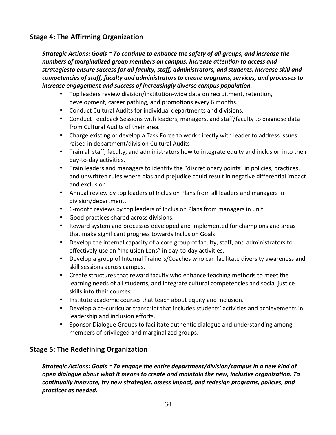### **Stage 4: The Affirming Organization**

*Strategic Actions: Goals*  $\sim$  To continue to enhance the safety of all groups, and increase the numbers of marginalized group members on campus. Increase attention to access and strategiesto ensure success for all faculty, staff, administrators, and students. Increase skill and  *competencies of staff, faculty and administrators to create programs, services, and processes to increase engagement and success of increasingly diverse campus population.* 

- Top leaders review division/institution-wide data on recruitment, retention, development, career pathing, and promotions every 6 months.
- Conduct Cultural Audits for individual departments and divisions.
- Conduct Feedback Sessions with leaders, managers, and staff/faculty to diagnose data from Cultural Audits of their area.
- Charge existing or develop a Task Force to work directly with leader to address issues raised in department/division Cultural Audits
- Train all staff, faculty, and administrators how to integrate equity and inclusion into their day-to-day activities.
- Train leaders and managers to identify the "discretionary points" in policies, practices, and unwritten rules where bias and prejudice could result in negative differential impact and exclusion.
- Annual review by top leaders of Inclusion Plans from all leaders and managers in division/department.
- 6-month reviews by top leaders of Inclusion Plans from managers in unit.
- Good practices shared across divisions.
- Reward system and processes developed and implemented for champions and areas that make significant progress towards Inclusion Goals.
- Develop the internal capacity of a core group of faculty, staff, and administrators to effectively use an "Inclusion Lens" in day-to-day activities.
- Develop a group of Internal Trainers/Coaches who can facilitate diversity awareness and skill sessions across campus.
- Create structures that reward faculty who enhance teaching methods to meet the learning needs of all students, and integrate cultural competencies and social justice skills into their courses.
- Institute academic courses that teach about equity and inclusion.
- Develop a co-curricular transcript that includes students' activities and achievements in leadership and inclusion efforts.
- Sponsor Dialogue Groups to facilitate authentic dialogue and understanding among members of privileged and marginalized groups.

#### **Stage 5: The Redefining Organization**

*Strategic Actions: Goals* ~ To engage the entire department/division/campus in a new kind of  *open dialogue about what it means to create and maintain the new, inclusive organization. To* continually innovate, try new strategies, assess impact, and redesign programs, policies, and  *practices as needed.*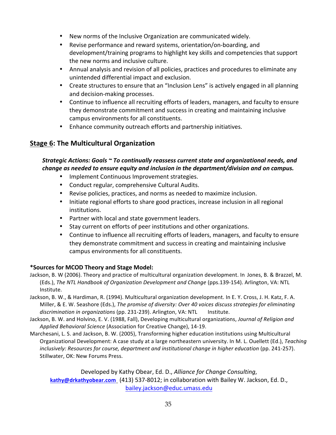- New norms of the Inclusive Organization are communicated widely.
- Revise performance and reward systems, orientation/on-boarding, and development/training programs to highlight key skills and competencies that support the new norms and inclusive culture.
- Annual analysis and revision of all policies, practices and procedures to eliminate any unintended differential impact and exclusion.
- Create structures to ensure that an "Inclusion Lens" is actively engaged in all planning and decision-making processes.
- Continue to influence all recruiting efforts of leaders, managers, and faculty to ensure they demonstrate commitment and success in creating and maintaining inclusive campus environments for all constituents.
- Enhance community outreach efforts and partnership initiatives.

# **Stage 6: The Multicultural Organization**

### *Strategic Actions: Goals* ~ To continually reassess current state and organizational needs, and  *change as needed to ensure equity and inclusion in the department/division and on campus.*

- Implement Continuous Improvement strategies.
- Conduct regular, comprehensive Cultural Audits.
- Revise policies, practices, and norms as needed to maximize inclusion.
- Initiate regional efforts to share good practices, increase inclusion in all regional institutions.
- Partner with local and state government leaders.
- Stay current on efforts of peer institutions and other organizations.
- Continue to influence all recruiting efforts of leaders, managers, and faculty to ensure they demonstrate commitment and success in creating and maintaining inclusive campus environments for all constituents.

#### \*Sources for MCOD Theory and Stage Model:

- Jackson, B. W (2006). Theory and practice of multicultural organization development. In Jones, B. & Brazzel, M. (Eds.), The NTL Handbook of Organization Development and Change (pps.139-154). Arlington, VA: NTL Institute.
- Jackson, B. W., & Hardiman, R. (1994). Multicultural organization development. In E. Y. Cross, J. H. Katz, F. A. Miller, & E. W. Seashore (Eds.), *The promise of diversity: Over 40 voices discuss strategies for eliminating* discrimination in organizations (pp. 231-239). Arlington, VA: NTL Institute.
- Jackson, B. W. and Holvino, E. V. (1988, Fall), Developing multicultural organizations, *Journal of Religion and* Applied Behavioral Science (Association for Creative Change), 14-19.
- Marchesani, L. S. and Jackson, B. W. (2005), Transforming higher education institutions using Multicultural Organizational Development: A case study at a large northeastern university. In M. L. Ouellett (Ed.), Teaching inclusively: Resources for course, department and institutional change in higher education (pp. 241-257). Stillwater, OK: New Forums Press.

Developed by Kathy Obear, Ed. D., *Alliance for Change Consulting*, kathy@drkathyobear.com (413) 537-8012; in collaboration with Bailey W. Jackson, Ed. D., bailey.jackson@educ.umass.edu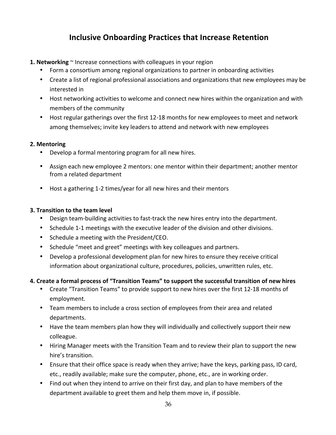# **Inclusive Onboarding Practices that Increase Retention**

- **1. Networking**  $\sim$  Increase connections with colleagues in your region
	- Form a consortium among regional organizations to partner in onboarding activities
	- Create a list of regional professional associations and organizations that new employees may be interested in
	- Host networking activities to welcome and connect new hires within the organization and with members of the community
	- Host regular gatherings over the first 12-18 months for new employees to meet and network among themselves; invite key leaders to attend and network with new employees

#### **2. Mentoring**

- Develop a formal mentoring program for all new hires.
- Assign each new employee 2 mentors: one mentor within their department; another mentor from a related department
- Host a gathering 1-2 times/year for all new hires and their mentors

#### **3. Transition to the team level**

- Design team-building activities to fast-track the new hires entry into the department.
- Schedule 1-1 meetings with the executive leader of the division and other divisions.
- Schedule a meeting with the President/CEO.
- Schedule "meet and greet" meetings with key colleagues and partners.
- Develop a professional development plan for new hires to ensure they receive critical information about organizational culture, procedures, policies, unwritten rules, etc.

#### 4. Create a formal process of "Transition Teams" to support the successful transition of new hires

- Create "Transition Teams" to provide support to new hires over the first 12-18 months of employment.
- Team members to include a cross section of employees from their area and related departments.
- Have the team members plan how they will individually and collectively support their new colleague.
- Hiring Manager meets with the Transition Team and to review their plan to support the new hire's transition.
- Ensure that their office space is ready when they arrive; have the keys, parking pass, ID card, etc., readily available; make sure the computer, phone, etc., are in working order.
- Find out when they intend to arrive on their first day, and plan to have members of the department available to greet them and help them move in, if possible.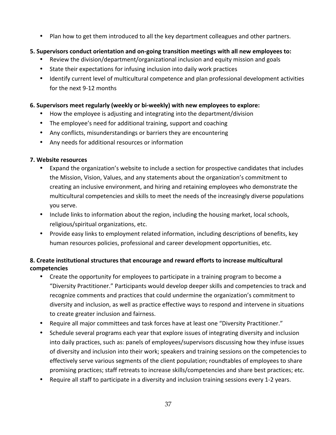Plan how to get them introduced to all the key department colleagues and other partners.

### **5.** Supervisors conduct orientation and on-going transition meetings with all new employees to:

- Review the division/department/organizational inclusion and equity mission and goals
- State their expectations for infusing inclusion into daily work practices
- Identify current level of multicultural competence and plan professional development activities for the next 9-12 months

#### **6.** Supervisors meet regularly (weekly or bi-weekly) with new employees to explore:

- How the employee is adjusting and integrating into the department/division
- The employee's need for additional training, support and coaching
- Any conflicts, misunderstandings or barriers they are encountering
- Any needs for additional resources or information

#### **7. Website resources**

- Expand the organization's website to include a section for prospective candidates that includes the Mission, Vision, Values, and any statements about the organization's commitment to creating an inclusive environment, and hiring and retaining employees who demonstrate the multicultural competencies and skills to meet the needs of the increasingly diverse populations you serve.
- Include links to information about the region, including the housing market, local schools, religious/spiritual organizations, etc.
- Provide easy links to employment related information, including descriptions of benefits, key human resources policies, professional and career development opportunities, etc.

### **8. Create institutional structures that encourage and reward efforts to increase multicultural competencies**

- Create the opportunity for employees to participate in a training program to become a "Diversity Practitioner." Participants would develop deeper skills and competencies to track and recognize comments and practices that could undermine the organization's commitment to diversity and inclusion, as well as practice effective ways to respond and intervene in situations to create greater inclusion and fairness.
- Require all major committees and task forces have at least one "Diversity Practitioner."
- Schedule several programs each year that explore issues of integrating diversity and inclusion into daily practices, such as: panels of employees/supervisors discussing how they infuse issues of diversity and inclusion into their work; speakers and training sessions on the competencies to effectively serve various segments of the client population; roundtables of employees to share promising practices; staff retreats to increase skills/competencies and share best practices; etc.
- Require all staff to participate in a diversity and inclusion training sessions every 1-2 years.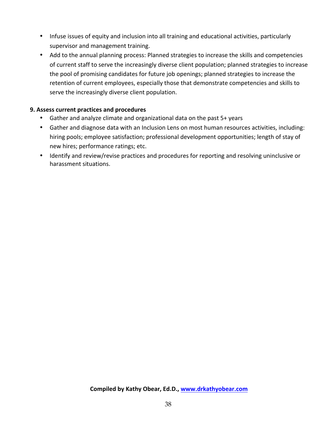- Infuse issues of equity and inclusion into all training and educational activities, particularly supervisor and management training.
- Add to the annual planning process: Planned strategies to increase the skills and competencies of current staff to serve the increasingly diverse client population; planned strategies to increase the pool of promising candidates for future job openings; planned strategies to increase the retention of current employees, especially those that demonstrate competencies and skills to serve the increasingly diverse client population.

#### **9. Assess current practices and procedures**

- Gather and analyze climate and organizational data on the past  $5+$  years
- Gather and diagnose data with an Inclusion Lens on most human resources activities, including: hiring pools; employee satisfaction; professional development opportunities; length of stay of new hires; performance ratings; etc.
- Identify and review/revise practices and procedures for reporting and resolving uninclusive or harassment situations.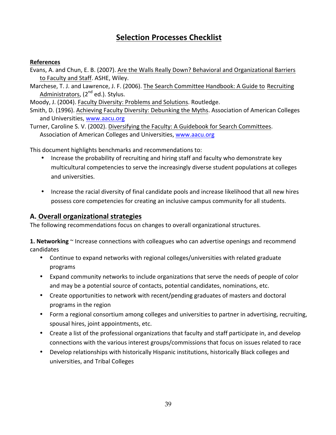# **Selection Processes Checklist**

#### **References**

- Evans, A. and Chun, E. B. (2007). Are the Walls Really Down? Behavioral and Organizational Barriers to Faculty and Staff. ASHE, Wiley.
- Marchese, T. J. and Lawrence, J. F. (2006). The Search Committee Handbook: A Guide to Recruiting Administrators,  $(2^{nd}$  ed.). Stylus.

Moody, J. (2004). Faculty Diversity: Problems and Solutions. Routledge.

Smith, D. (1996). Achieving Faculty Diversity: Debunking the Myths. Association of American Colleges and Universities, www.aacu.org

Turner, Caroline S. V. (2002). Diversifying the Faculty: A Guidebook for Search Committees. Association of American Colleges and Universities, www.aacu.org

This document highlights benchmarks and recommendations to:

- Increase the probability of recruiting and hiring staff and faculty who demonstrate key multicultural competencies to serve the increasingly diverse student populations at colleges and universities.
- Increase the racial diversity of final candidate pools and increase likelihood that all new hires possess core competencies for creating an inclusive campus community for all students.

#### **A. Overall organizational strategies**

The following recommendations focus on changes to overall organizational structures.

**1. Networking** ~ Increase connections with colleagues who can advertise openings and recommend candidates 

- Continue to expand networks with regional colleges/universities with related graduate programs
- Expand community networks to include organizations that serve the needs of people of color and may be a potential source of contacts, potential candidates, nominations, etc.
- Create opportunities to network with recent/pending graduates of masters and doctoral programs in the region
- Form a regional consortium among colleges and universities to partner in advertising, recruiting, spousal hires, joint appointments, etc.
- Create a list of the professional organizations that faculty and staff participate in, and develop connections with the various interest groups/commissions that focus on issues related to race
- Develop relationships with historically Hispanic institutions, historically Black colleges and universities, and Tribal Colleges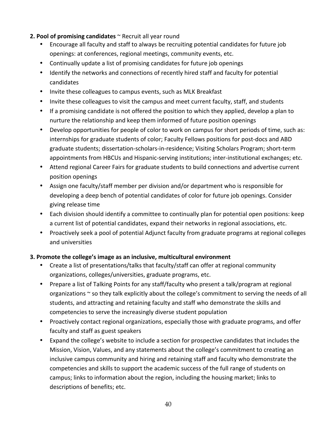#### **2. Pool of promising candidates** ~ Recruit all year round

- Encourage all faculty and staff to always be recruiting potential candidates for future job openings: at conferences, regional meetings, community events, etc.
- Continually update a list of promising candidates for future job openings
- Identify the networks and connections of recently hired staff and faculty for potential candidates
- Invite these colleagues to campus events, such as MLK Breakfast
- Invite these colleagues to visit the campus and meet current faculty, staff, and students
- If a promising candidate is not offered the position to which they applied, develop a plan to nurture the relationship and keep them informed of future position openings
- Develop opportunities for people of color to work on campus for short periods of time, such as: internships for graduate students of color; Faculty Fellows positions for post-docs and ABD graduate students; dissertation-scholars-in-residence; Visiting Scholars Program; short-term appointments from HBCUs and Hispanic-serving institutions; inter-institutional exchanges; etc.
- Attend regional Career Fairs for graduate students to build connections and advertise current position openings
- Assign one faculty/staff member per division and/or department who is responsible for developing a deep bench of potential candidates of color for future job openings. Consider giving release time
- Each division should identify a committee to continually plan for potential open positions: keep a current list of potential candidates, expand their networks in regional associations, etc.
- Proactively seek a pool of potential Adjunct faculty from graduate programs at regional colleges and universities

#### **3. Promote the college's image as an inclusive, multicultural environment**

- Create a list of presentations/talks that faculty/staff can offer at regional community organizations, colleges/universities, graduate programs, etc.
- Prepare a list of Talking Points for any staff/faculty who present a talk/program at regional organizations  $\sim$  so they talk explicitly about the college's commitment to serving the needs of all students, and attracting and retaining faculty and staff who demonstrate the skills and competencies to serve the increasingly diverse student population
- Proactively contact regional organizations, especially those with graduate programs, and offer faculty and staff as guest speakers
- Expand the college's website to include a section for prospective candidates that includes the Mission, Vision, Values, and any statements about the college's commitment to creating an inclusive campus community and hiring and retaining staff and faculty who demonstrate the competencies and skills to support the academic success of the full range of students on campus; links to information about the region, including the housing market; links to descriptions of benefits; etc.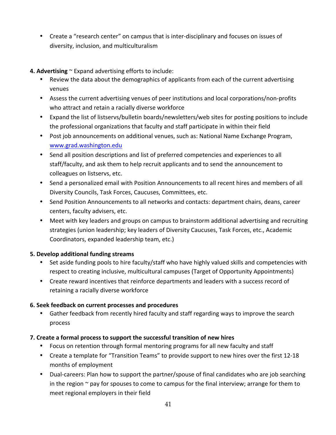- Create a "research center" on campus that is inter-disciplinary and focuses on issues of diversity, inclusion, and multiculturalism
- **4. Advertising**  $\sim$  Expand advertising efforts to include:
	- Review the data about the demographics of applicants from each of the current advertising venues
	- Assess the current advertising venues of peer institutions and local corporations/non-profits who attract and retain a racially diverse workforce
	- Expand the list of listservs/bulletin boards/newsletters/web sites for posting positions to include the professional organizations that faculty and staff participate in within their field
	- Post job announcements on additional venues, such as: National Name Exchange Program, www.grad.washington.edu
	- Send all position descriptions and list of preferred competencies and experiences to all staff/faculty, and ask them to help recruit applicants and to send the announcement to colleagues on listservs, etc.
	- Send a personalized email with Position Announcements to all recent hires and members of all Diversity Councils, Task Forces, Caucuses, Committees, etc.
	- Send Position Announcements to all networks and contacts: department chairs, deans, career centers, faculty advisers, etc.
	- Meet with key leaders and groups on campus to brainstorm additional advertising and recruiting strategies (union leadership; key leaders of Diversity Caucuses, Task Forces, etc., Academic Coordinators, expanded leadership team, etc.)

#### **5. Develop additional funding streams**

- Set aside funding pools to hire faculty/staff who have highly valued skills and competencies with respect to creating inclusive, multicultural campuses (Target of Opportunity Appointments)
- Create reward incentives that reinforce departments and leaders with a success record of retaining a racially diverse workforce

#### **6. Seek feedback on current processes and procedures**

• Gather feedback from recently hired faculty and staff regarding ways to improve the search process

#### **7.** Create a formal process to support the successful transition of new hires

- Focus on retention through formal mentoring programs for all new faculty and staff
- Create a template for "Transition Teams" to provide support to new hires over the first 12-18 months of employment
- Dual-careers: Plan how to support the partner/spouse of final candidates who are job searching in the region  $\sim$  pay for spouses to come to campus for the final interview; arrange for them to meet regional employers in their field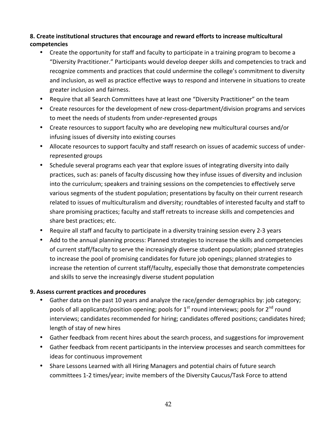#### 8. Create institutional structures that encourage and reward efforts to increase multicultural **competencies**

- Create the opportunity for staff and faculty to participate in a training program to become a "Diversity Practitioner." Participants would develop deeper skills and competencies to track and recognize comments and practices that could undermine the college's commitment to diversity and inclusion, as well as practice effective ways to respond and intervene in situations to create greater inclusion and fairness.
- Require that all Search Committees have at least one "Diversity Practitioner" on the team
- Create resources for the development of new cross-department/division programs and services to meet the needs of students from under-represented groups
- Create resources to support faculty who are developing new multicultural courses and/or infusing issues of diversity into existing courses
- Allocate resources to support faculty and staff research on issues of academic success of underrepresented groups
- Schedule several programs each year that explore issues of integrating diversity into daily practices, such as: panels of faculty discussing how they infuse issues of diversity and inclusion into the curriculum; speakers and training sessions on the competencies to effectively serve various segments of the student population; presentations by faculty on their current research related to issues of multiculturalism and diversity; roundtables of interested faculty and staff to share promising practices; faculty and staff retreats to increase skills and competencies and share best practices; etc.
- Require all staff and faculty to participate in a diversity training session every 2-3 years
- Add to the annual planning process: Planned strategies to increase the skills and competencies of current staff/faculty to serve the increasingly diverse student population; planned strategies to increase the pool of promising candidates for future job openings; planned strategies to increase the retention of current staff/faculty, especially those that demonstrate competencies and skills to serve the increasingly diverse student population

#### **9. Assess current practices and procedures**

- Gather data on the past 10 years and analyze the race/gender demographics by: job category; pools of all applicants/position opening; pools for  $1<sup>st</sup>$  round interviews; pools for  $2<sup>nd</sup>$  round interviews; candidates recommended for hiring; candidates offered positions; candidates hired; length of stay of new hires
- Gather feedback from recent hires about the search process, and suggestions for improvement
- Gather feedback from recent participants in the interview processes and search committees for ideas for continuous improvement
- Share Lessons Learned with all Hiring Managers and potential chairs of future search committees 1-2 times/year; invite members of the Diversity Caucus/Task Force to attend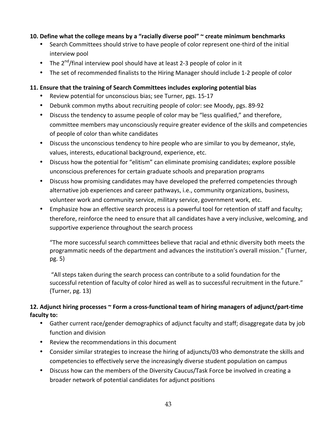#### 10. Define what the college means by a "racially diverse pool" ~ create minimum benchmarks

- Search Committees should strive to have people of color represent one-third of the initial interview pool
- The  $2^{nd}/$  final interview pool should have at least 2-3 people of color in it
- The set of recommended finalists to the Hiring Manager should include 1-2 people of color

#### **11. Ensure that the training of Search Committees includes exploring potential bias**

- Review potential for unconscious bias; see Turner, pgs. 15-17
- Debunk common myths about recruiting people of color: see Moody, pgs. 89-92
- Discuss the tendency to assume people of color may be "less qualified," and therefore, committee members may unconsciously require greater evidence of the skills and competencies of people of color than white candidates
- Discuss the unconscious tendency to hire people who are similar to you by demeanor, style, values, interests, educational background, experience, etc.
- Discuss how the potential for "elitism" can eliminate promising candidates; explore possible unconscious preferences for certain graduate schools and preparation programs
- Discuss how promising candidates may have developed the preferred competencies through alternative job experiences and career pathways, i.e., community organizations, business, volunteer work and community service, military service, government work, etc.
- Emphasize how an effective search process is a powerful tool for retention of staff and faculty; therefore, reinforce the need to ensure that all candidates have a very inclusive, welcoming, and supportive experience throughout the search process

"The more successful search committees believe that racial and ethnic diversity both meets the programmatic needs of the department and advances the institution's overall mission." (Turner, pg. 5)

"All steps taken during the search process can contribute to a solid foundation for the successful retention of faculty of color hired as well as to successful recruitment in the future."  $(Turner, pg. 13)$ 

#### 12. Adjunct hiring processes ~ Form a cross-functional team of hiring managers of adjunct/part-time faculty to:

- Gather current race/gender demographics of adjunct faculty and staff; disaggregate data by job function and division
- Review the recommendations in this document
- Consider similar strategies to increase the hiring of adjuncts/03 who demonstrate the skills and competencies to effectively serve the increasingly diverse student population on campus
- Discuss how can the members of the Diversity Caucus/Task Force be involved in creating a broader network of potential candidates for adjunct positions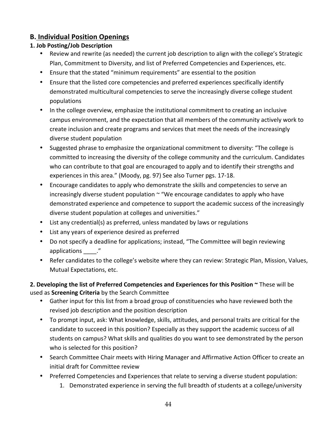# **B. Individual Position Openings**

### **1. Job Posting/Job Description**

- Review and rewrite (as needed) the current job description to align with the college's Strategic Plan, Commitment to Diversity, and list of Preferred Competencies and Experiences, etc.
- Ensure that the stated "minimum requirements" are essential to the position
- Ensure that the listed core competencies and preferred experiences specifically identify demonstrated multicultural competencies to serve the increasingly diverse college student populations
- In the college overview, emphasize the institutional commitment to creating an inclusive campus environment, and the expectation that all members of the community actively work to create inclusion and create programs and services that meet the needs of the increasingly diverse student population
- Suggested phrase to emphasize the organizational commitment to diversity: "The college is committed to increasing the diversity of the college community and the curriculum. Candidates who can contribute to that goal are encouraged to apply and to identify their strengths and experiences in this area." (Moody, pg. 97) See also Turner pgs. 17-18.
- Encourage candidates to apply who demonstrate the skills and competencies to serve an increasingly diverse student population  $\sim$  "We encourage candidates to apply who have demonstrated experience and competence to support the academic success of the increasingly diverse student population at colleges and universities."
- List any credential(s) as preferred, unless mandated by laws or regulations
- List any years of experience desired as preferred
- Do not specify a deadline for applications; instead, "The Committee will begin reviewing applications ."
- Refer candidates to the college's website where they can review: Strategic Plan, Mission, Values, Mutual Expectations, etc.

### **2. Developing the list of Preferred Competencies and Experiences for this Position**  $\sim$  **These will be** used as **Screening Criteria** by the Search Committee

- Gather input for this list from a broad group of constituencies who have reviewed both the revised job description and the position description
- To prompt input, ask: What knowledge, skills, attitudes, and personal traits are critical for the candidate to succeed in this position? Especially as they support the academic success of all students on campus? What skills and qualities do you want to see demonstrated by the person who is selected for this position?
- Search Committee Chair meets with Hiring Manager and Affirmative Action Officer to create an initial draft for Committee review
- Preferred Competencies and Experiences that relate to serving a diverse student population:
	- 1. Demonstrated experience in serving the full breadth of students at a college/university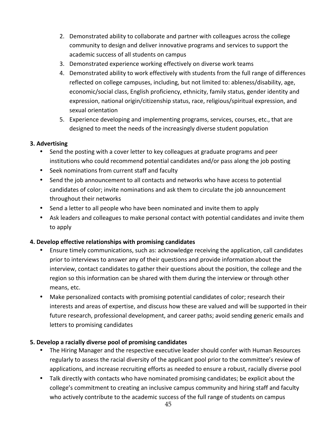- 2. Demonstrated ability to collaborate and partner with colleagues across the college community to design and deliver innovative programs and services to support the academic success of all students on campus
- 3. Demonstrated experience working effectively on diverse work teams
- 4. Demonstrated ability to work effectively with students from the full range of differences reflected on college campuses, including, but not limited to: ableness/disability, age, economic/social class, English proficiency, ethnicity, family status, gender identity and expression, national origin/citizenship status, race, religious/spiritual expression, and sexual orientation
- 5. Experience developing and implementing programs, services, courses, etc., that are designed to meet the needs of the increasingly diverse student population

#### **3. Advertising**

- Send the posting with a cover letter to key colleagues at graduate programs and peer institutions who could recommend potential candidates and/or pass along the job posting
- Seek nominations from current staff and faculty
- Send the job announcement to all contacts and networks who have access to potential candidates of color; invite nominations and ask them to circulate the job announcement throughout their networks
- Send a letter to all people who have been nominated and invite them to apply
- Ask leaders and colleagues to make personal contact with potential candidates and invite them to apply

#### **4. Develop effective relationships with promising candidates**

- Ensure timely communications, such as: acknowledge receiving the application, call candidates prior to interviews to answer any of their questions and provide information about the interview, contact candidates to gather their questions about the position, the college and the region so this information can be shared with them during the interview or through other means, etc.
- Make personalized contacts with promising potential candidates of color; research their interests and areas of expertise, and discuss how these are valued and will be supported in their future research, professional development, and career paths; avoid sending generic emails and letters to promising candidates

#### **5.** Develop a racially diverse pool of promising candidates

- The Hiring Manager and the respective executive leader should confer with Human Resources regularly to assess the racial diversity of the applicant pool prior to the committee's review of applications, and increase recruiting efforts as needed to ensure a robust, racially diverse pool
- Talk directly with contacts who have nominated promising candidates; be explicit about the college's commitment to creating an inclusive campus community and hiring staff and faculty who actively contribute to the academic success of the full range of students on campus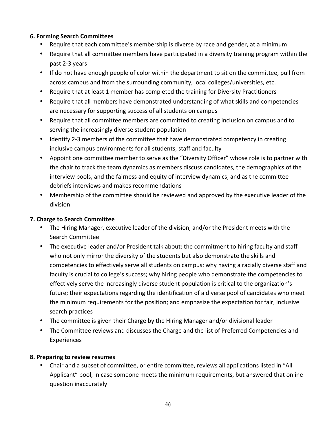#### **6. Forming Search Committees**

- Require that each committee's membership is diverse by race and gender, at a minimum
- Require that all committee members have participated in a diversity training program within the past 2-3 years
- If do not have enough people of color within the department to sit on the committee, pull from across campus and from the surrounding community, local colleges/universities, etc.
- Require that at least 1 member has completed the training for Diversity Practitioners
- Require that all members have demonstrated understanding of what skills and competencies are necessary for supporting success of all students on campus
- Require that all committee members are committed to creating inclusion on campus and to serving the increasingly diverse student population
- Identify 2-3 members of the committee that have demonstrated competency in creating inclusive campus environments for all students, staff and faculty
- Appoint one committee member to serve as the "Diversity Officer" whose role is to partner with the chair to track the team dynamics as members discuss candidates, the demographics of the interview pools, and the fairness and equity of interview dynamics, and as the committee debriefs interviews and makes recommendations
- Membership of the committee should be reviewed and approved by the executive leader of the division

#### **7. Charge to Search Committee**

- The Hiring Manager, executive leader of the division, and/or the President meets with the Search Committee
- The executive leader and/or President talk about: the commitment to hiring faculty and staff who not only mirror the diversity of the students but also demonstrate the skills and competencies to effectively serve all students on campus; why having a racially diverse staff and faculty is crucial to college's success; why hiring people who demonstrate the competencies to effectively serve the increasingly diverse student population is critical to the organization's future; their expectations regarding the identification of a diverse pool of candidates who meet the minimum requirements for the position; and emphasize the expectation for fair, inclusive search practices
- The committee is given their Charge by the Hiring Manager and/or divisional leader
- The Committee reviews and discusses the Charge and the list of Preferred Competencies and Experiences

#### **8. Preparing to review resumes**

• Chair and a subset of committee, or entire committee, reviews all applications listed in "All Applicant" pool, in case someone meets the minimum requirements, but answered that online question inaccurately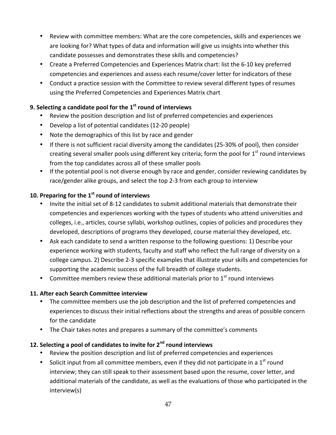- Review with committee members: What are the core competencies, skills and experiences we are looking for? What types of data and information will give us insights into whether this candidate possesses and demonstrates these skills and competencies?
- Create a Preferred Competencies and Experiences Matrix chart: list the 6-10 key preferred competencies and experiences and assess each resume/cover letter for indicators of these
- Conduct a practice session with the Committee to review several different types of resumes using the Preferred Competencies and Experiences Matrix chart

### **9. Selecting a candidate pool for the 1<sup>st</sup> round of interviews**

- Review the position description and list of preferred competencies and experiences
- Develop a list of potential candidates (12-20 people)
- Note the demographics of this list by race and gender
- If there is not sufficient racial diversity among the candidates (25-30% of pool), then consider creating several smaller pools using different key criteria; form the pool for  $1<sup>st</sup>$  round interviews from the top candidates across all of these smaller pools
- If the potential pool is not diverse enough by race and gender, consider reviewing candidates by race/gender alike groups, and select the top 2-3 from each group to interview

#### **10. Preparing for the 1st round of interviews**

- Invite the initial set of 8-12 candidates to submit additional materials that demonstrate their competencies and experiences working with the types of students who attend universities and colleges, i.e., articles, course syllabi, workshop outlines, copies of policies and procedures they developed, descriptions of programs they developed, course material they developed, etc.
- Ask each candidate to send a written response to the following questions: 1) Describe your experience working with students, faculty and staff who reflect the full range of diversity on a college campus. 2) Describe 2-3 specific examples that illustrate your skills and competencies for supporting the academic success of the full breadth of college students.
- Committee members review these additional materials prior to  $1<sup>st</sup>$  round interviews

#### **11. After each Search Committee interview**

- The committee members use the job description and the list of preferred competencies and experiences to discuss their initial reflections about the strengths and areas of possible concern for the candidate
- The Chair takes notes and prepares a summary of the committee's comments

#### **12. Selecting a pool of candidates to invite for 2<sup>nd</sup> round interviews**

- Review the position description and list of preferred competencies and experiences
- Solicit input from all committee members, even if they did not participate in a  $1<sup>st</sup>$  round interview; they can still speak to their assessment based upon the resume, cover letter, and additional materials of the candidate, as well as the evaluations of those who participated in the interview(s)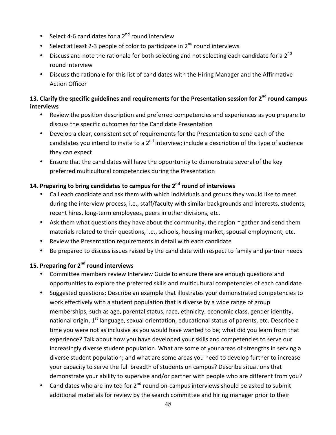- Select 4-6 candidates for a  $2^{nd}$  round interview
- Select at least 2-3 people of color to participate in  $2^{nd}$  round interviews
- Discuss and note the rationale for both selecting and not selecting each candidate for a  $2^{nd}$ round interview
- Discuss the rationale for this list of candidates with the Hiring Manager and the Affirmative Action Officer

### 13. Clarify the specific guidelines and requirements for the Presentation session for 2<sup>nd</sup> round campus **interviews**

- Review the position description and preferred competencies and experiences as you prepare to discuss the specific outcomes for the Candidate Presentation
- Develop a clear, consistent set of requirements for the Presentation to send each of the candidates you intend to invite to a  $2^{nd}$  interview; include a description of the type of audience they can expect
- Ensure that the candidates will have the opportunity to demonstrate several of the key preferred multicultural competencies during the Presentation

# **14. Preparing to bring candidates to campus for the 2nd round of interviews**

- Call each candidate and ask them with which individuals and groups they would like to meet during the interview process, i.e., staff/faculty with similar backgrounds and interests, students, recent hires, long-term employees, peers in other divisions, etc.
- Ask them what questions they have about the community, the region  $\sim$  gather and send them materials related to their questions, i.e., schools, housing market, spousal employment, etc.
- Review the Presentation requirements in detail with each candidate
- Be prepared to discuss issues raised by the candidate with respect to family and partner needs

### **15. Preparing for 2<sup>nd</sup> round interviews**

- Committee members review Interview Guide to ensure there are enough questions and opportunities to explore the preferred skills and multicultural competencies of each candidate
- Suggested questions: Describe an example that illustrates your demonstrated competencies to work effectively with a student population that is diverse by a wide range of group memberships, such as age, parental status, race, ethnicity, economic class, gender identity, national origin,  $1^{st}$  language, sexual orientation, educational status of parents, etc. Describe a time you were not as inclusive as you would have wanted to be; what did you learn from that experience? Talk about how you have developed your skills and competencies to serve our increasingly diverse student population. What are some of your areas of strengths in serving a diverse student population; and what are some areas you need to develop further to increase your capacity to serve the full breadth of students on campus? Describe situations that demonstrate your ability to supervise and/or partner with people who are different from you?
- Candidates who are invited for  $2^{nd}$  round on-campus interviews should be asked to submit additional materials for review by the search committee and hiring manager prior to their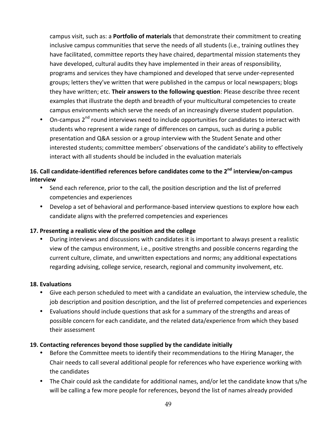campus visit, such as: a **Portfolio of materials** that demonstrate their commitment to creating inclusive campus communities that serve the needs of all students (i.e., training outlines they have facilitated, committee reports they have chaired, departmental mission statements they have developed, cultural audits they have implemented in their areas of responsibility, programs and services they have championed and developed that serve under-represented groups; letters they've written that were published in the campus or local newspapers; blogs they have written; etc. Their answers to the following question: Please describe three recent examples that illustrate the depth and breadth of your multicultural competencies to create campus environments which serve the needs of an increasingly diverse student population.

• On-campus  $2^{nd}$  round interviews need to include opportunities for candidates to interact with students who represent a wide range of differences on campus, such as during a public presentation and Q&A session or a group interview with the Student Senate and other interested students; committee members' observations of the candidate's ability to effectively interact with all students should be included in the evaluation materials

# 16. Call candidate-identified references before candidates come to the 2<sup>nd</sup> interview/on-campus **interview**

- Send each reference, prior to the call, the position description and the list of preferred competencies and experiences
- Develop a set of behavioral and performance-based interview questions to explore how each candidate aligns with the preferred competencies and experiences

#### **17.** Presenting a realistic view of the position and the college

During interviews and discussions with candidates it is important to always present a realistic view of the campus environment, i.e., positive strengths and possible concerns regarding the current culture, climate, and unwritten expectations and norms; any additional expectations regarding advising, college service, research, regional and community involvement, etc.

#### **18. Evaluations**

- Give each person scheduled to meet with a candidate an evaluation, the interview schedule, the job description and position description, and the list of preferred competencies and experiences
- Evaluations should include questions that ask for a summary of the strengths and areas of possible concern for each candidate, and the related data/experience from which they based their assessment

#### **19. Contacting references beyond those supplied by the candidate initially**

- Before the Committee meets to identify their recommendations to the Hiring Manager, the Chair needs to call several additional people for references who have experience working with the candidates
- The Chair could ask the candidate for additional names, and/or let the candidate know that s/he will be calling a few more people for references, beyond the list of names already provided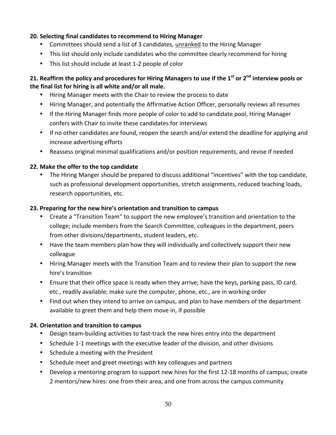#### **20. Selecting final candidates to recommend to Hiring Manager**

- Committees should send a list of 3 candidates, unranked to the Hiring Manager
- This list should only include candidates who the committee clearly recommend for hiring
- This list should include at least 1-2 people of color

### **21.** Reaffirm the policy and procedures for Hiring Managers to use if the 1<sup>st</sup> or 2<sup>nd</sup> interview pools or the final list for hiring is all white and/or all male.

- Hiring Manager meets with the Chair to review the process to date
- Hiring Manager, and potentially the Affirmative Action Officer, personally reviews all resumes
- If the Hiring Manager finds more people of color to add to candidate pool, Hiring Manager confers with Chair to invite these candidates for interviews
- If no other candidates are found, reopen the search and/or extend the deadline for applying and increase advertising efforts
- Reassess original minimal qualifications and/or position requirements, and revise if needed

#### **22. Make the offer to the top candidate**

• The Hiring Manger should be prepared to discuss additional "incentives" with the top candidate, such as professional development opportunities, stretch assignments, reduced teaching loads, research opportunities, etc.

#### **23. Preparing for the new hire's orientation and transition to campus**

- Create a "Transition Team" to support the new employee's transition and orientation to the college; include members from the Search Committee, colleagues in the department, peers from other divisions/departments, student leaders, etc.
- Have the team members plan how they will individually and collectively support their new colleague
- Hiring Manager meets with the Transition Team and to review their plan to support the new hire's transition
- Ensure that their office space is ready when they arrive; have the keys, parking pass, ID card, etc., readily available; make sure the computer, phone, etc., are in working order
- Find out when they intend to arrive on campus, and plan to have members of the department available to greet them and help them move in, if possible

#### **24. Orientation and transition to campus**

- Design team-building activities to fast-track the new hires entry into the department
- Schedule 1-1 meetings with the executive leader of the division, and other divisions
- Schedule a meeting with the President
- Schedule meet and greet meetings with key colleagues and partners
- Develop a mentoring program to support new hires for the first 12-18 months of campus; create 2 mentors/new hires: one from their area, and one from across the campus community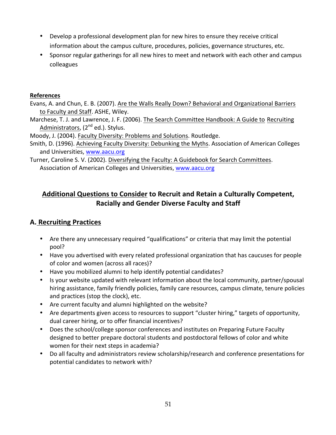- Develop a professional development plan for new hires to ensure they receive critical information about the campus culture, procedures, policies, governance structures, etc.
- Sponsor regular gatherings for all new hires to meet and network with each other and campus colleagues

#### **References**

Evans, A. and Chun, E. B. (2007). Are the Walls Really Down? Behavioral and Organizational Barriers to Faculty and Staff. ASHE, Wiley.

Marchese, T. J. and Lawrence, J. F. (2006). The Search Committee Handbook: A Guide to Recruiting Administrators,  $(2^{nd}$  ed.). Stylus.

Moody, J. (2004). Faculty Diversity: Problems and Solutions. Routledge.

Smith, D. (1996). Achieving Faculty Diversity: Debunking the Myths. Association of American Colleges and Universities, www.aacu.org

Turner, Caroline S. V. (2002). Diversifying the Faculty: A Guidebook for Search Committees. Association of American Colleges and Universities, www.aacu.org

# Additional Questions to Consider to Recruit and Retain a Culturally Competent, **Racially and Gender Diverse Faculty and Staff**

# **A. Recruiting Practices**

- Are there any unnecessary required "qualifications" or criteria that may limit the potential pool?
- Have you advertised with every related professional organization that has caucuses for people of color and women (across all races)?
- Have you mobilized alumni to help identify potential candidates?
- Is your website updated with relevant information about the local community, partner/spousal hiring assistance, family friendly policies, family care resources, campus climate, tenure policies and practices (stop the clock), etc.
- Are current faculty and alumni highlighted on the website?
- Are departments given access to resources to support "cluster hiring," targets of opportunity, dual career hiring, or to offer financial incentives?
- Does the school/college sponsor conferences and institutes on Preparing Future Faculty designed to better prepare doctoral students and postdoctoral fellows of color and white women for their next steps in academia?
- Do all faculty and administrators review scholarship/research and conference presentations for potential candidates to network with?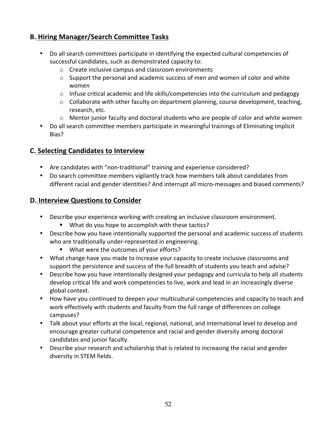# **B. Hiring Manager/Search Committee Tasks**

- Do all search committees participate in identifying the expected cultural competencies of successful candidates, such as demonstrated capacity to:
	- $\circ$  Create inclusive campus and classroom environments
	- $\circ$  Support the personal and academic success of men and women of color and white women
	- $\circ$  Infuse critical academic and life skills/competencies into the curriculum and pedagogy
	- $\circ$  Collaborate with other faculty on department planning, course development, teaching, research, etc.
	- $\circ$  Mentor junior faculty and doctoral students who are people of color and white women
- Do all search committee members participate in meaningful trainings of Eliminating Implicit Bias?

### **C. Selecting Candidates to Interview**

- Are candidates with "non-traditional" training and experience considered?
- Do search committee members vigilantly track how members talk about candidates from different racial and gender identities? And interrupt all micro-messages and biased comments?

#### **D. Interview Questions to Consider**

- Describe your experience working with creating an inclusive classroom environment.
	- What do you hope to accomplish with these tactics?
- Describe how you have intentionally supported the personal and academic success of students who are traditionally under-represented in engineering.
	- What were the outcomes of your efforts?
- What change have you made to increase your capacity to create inclusive classrooms and support the persistence and success of the full breadth of students you teach and advise?
- Describe how you have intentionally designed your pedagogy and curricula to help all students develop critical life and work competencies to live, work and lead in an increasingly diverse global context.
- How have you continued to deepen your multicultural competencies and capacity to teach and work effectively with students and faculty from the full range of differences on college campuses?
- Talk about your efforts at the local, regional, national, and international level to develop and encourage greater cultural competence and racial and gender diversity among doctoral candidates and junior faculty.
- Describe your research and scholarship that is related to increasing the racial and gender diversity in STEM fields.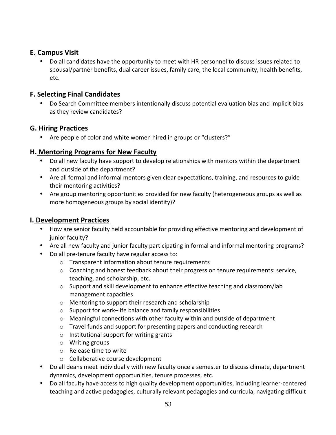# **E. Campus Visit**

• Do all candidates have the opportunity to meet with HR personnel to discuss issues related to spousal/partner benefits, dual career issues, family care, the local community, health benefits, etc. 

# **F. Selecting Final Candidates**

Do Search Committee members intentionally discuss potential evaluation bias and implicit bias as they review candidates?

# **G. Hiring Practices**

• Are people of color and white women hired in groups or "clusters?"

# **H. Mentoring Programs for New Faculty**

- Do all new faculty have support to develop relationships with mentors within the department and outside of the department?
- Are all formal and informal mentors given clear expectations, training, and resources to guide their mentoring activities?
- Are group mentoring opportunities provided for new faculty (heterogeneous groups as well as more homogeneous groups by social identity)?

# **I. Development Practices**

- How are senior faculty held accountable for providing effective mentoring and development of junior faculty?
- Are all new faculty and junior faculty participating in formal and informal mentoring programs?
- Do all pre-tenure faculty have regular access to:
	- $\circ$  Transparent information about tenure requirements
	- $\circ$  Coaching and honest feedback about their progress on tenure requirements: service, teaching, and scholarship, etc.
	- $\circ$  Support and skill development to enhance effective teaching and classroom/lab management capacities
	- $\circ$  Mentoring to support their research and scholarship
	- $\circ$  Support for work–life balance and family responsibilities
	- o Meaningful connections with other faculty within and outside of department
	- $\circ$  Travel funds and support for presenting papers and conducting research
	- $\circ$  Institutional support for writing grants
	- $\circ$  Writing groups
	- $\circ$  Release time to write
	- $\circ$  Collaborative course development
- Do all deans meet individually with new faculty once a semester to discuss climate, department dynamics, development opportunities, tenure processes, etc.
- Do all faculty have access to high quality development opportunities, including learner-centered teaching and active pedagogies, culturally relevant pedagogies and curricula, navigating difficult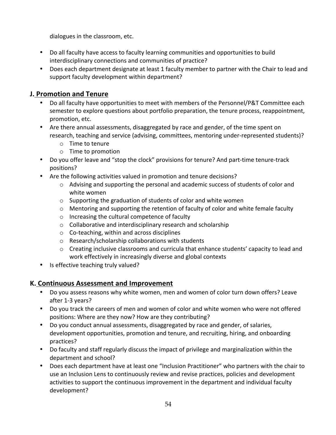dialogues in the classroom, etc.

- Do all faculty have access to faculty learning communities and opportunities to build interdisciplinary connections and communities of practice?
- Does each department designate at least 1 faculty member to partner with the Chair to lead and support faculty development within department?

# **J. Promotion and Tenure**

- Do all faculty have opportunities to meet with members of the Personnel/P&T Committee each semester to explore questions about portfolio preparation, the tenure process, reappointment, promotion, etc.
- Are there annual assessments, disaggregated by race and gender, of the time spent on research, teaching and service (advising, committees, mentoring under-represented students)?
	- $\circ$  Time to tenure
	- $\circ$  Time to promotion
- Do you offer leave and "stop the clock" provisions for tenure? And part-time tenure-track positions?
- Are the following activities valued in promotion and tenure decisions?
	- $\circ$  Advising and supporting the personal and academic success of students of color and white women
	- $\circ$  Supporting the graduation of students of color and white women
	- $\circ$  Mentoring and supporting the retention of faculty of color and white female faculty
	- $\circ$  Increasing the cultural competence of faculty
	- $\circ$  Collaborative and interdisciplinary research and scholarship
	- $\circ$  Co-teaching, within and across disciplines
	- $\circ$  Research/scholarship collaborations with students
	- $\circ$  Creating inclusive classrooms and curricula that enhance students' capacity to lead and work effectively in increasingly diverse and global contexts
- Is effective teaching truly valued?

# **K. Continuous Assessment and Improvement**

- Do you assess reasons why white women, men and women of color turn down offers? Leave after 1-3 years?
- Do you track the careers of men and women of color and white women who were not offered positions: Where are they now? How are they contributing?
- Do you conduct annual assessments, disaggregated by race and gender, of salaries, development opportunities, promotion and tenure, and recruiting, hiring, and onboarding practices?
- Do faculty and staff regularly discuss the impact of privilege and marginalization within the department and school?
- Does each department have at least one "Inclusion Practitioner" who partners with the chair to use an Inclusion Lens to continuously review and revise practices, policies and development activities to support the continuous improvement in the department and individual faculty development?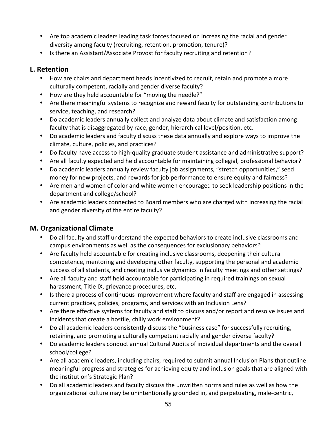- Are top academic leaders leading task forces focused on increasing the racial and gender diversity among faculty (recruiting, retention, promotion, tenure)?
- Is there an Assistant/Associate Provost for faculty recruiting and retention?

# **L. Retention**

- How are chairs and department heads incentivized to recruit, retain and promote a more culturally competent, racially and gender diverse faculty?
- How are they held accountable for "moving the needle?"
- Are there meaningful systems to recognize and reward faculty for outstanding contributions to service, teaching, and research?
- Do academic leaders annually collect and analyze data about climate and satisfaction among faculty that is disaggregated by race, gender, hierarchical level/position, etc.
- Do academic leaders and faculty discuss these data annually and explore ways to improve the climate, culture, policies, and practices?
- Do faculty have access to high-quality graduate student assistance and administrative support?
- Are all faculty expected and held accountable for maintaining collegial, professional behavior?
- Do academic leaders annually review faculty job assignments, "stretch opportunities," seed money for new projects, and rewards for job performance to ensure equity and fairness?
- Are men and women of color and white women encouraged to seek leadership positions in the department and college/school?
- Are academic leaders connected to Board members who are charged with increasing the racial and gender diversity of the entire faculty?

# **M. Organizational Climate**

- Do all faculty and staff understand the expected behaviors to create inclusive classrooms and campus environments as well as the consequences for exclusionary behaviors?
- Are faculty held accountable for creating inclusive classrooms, deepening their cultural competence, mentoring and developing other faculty, supporting the personal and academic success of all students, and creating inclusive dynamics in faculty meetings and other settings?
- Are all faculty and staff held accountable for participating in required trainings on sexual harassment, Title IX, grievance procedures, etc.
- Is there a process of continuous improvement where faculty and staff are engaged in assessing current practices, policies, programs, and services with an Inclusion Lens?
- Are there effective systems for faculty and staff to discuss and/or report and resolve issues and incidents that create a hostile, chilly work environment?
- Do all academic leaders consistently discuss the "business case" for successfully recruiting, retaining, and promoting a culturally competent racially and gender diverse faculty?
- Do academic leaders conduct annual Cultural Audits of individual departments and the overall school/college?
- Are all academic leaders, including chairs, required to submit annual Inclusion Plans that outline meaningful progress and strategies for achieving equity and inclusion goals that are aligned with the institution's Strategic Plan?
- Do all academic leaders and faculty discuss the unwritten norms and rules as well as how the organizational culture may be unintentionally grounded in, and perpetuating, male-centric,